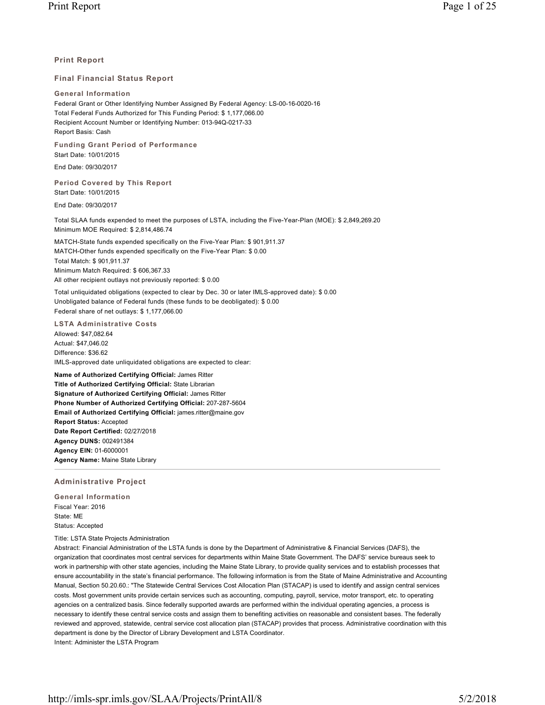# **Print Report**

## **Final Financial Status Report**

#### **General Information**

Federal Grant or Other Identifying Number Assigned By Federal Agency: LS-00-16-0020-16 Total Federal Funds Authorized for This Funding Period: \$ 1,177,066.00 Recipient Account Number or Identifying Number: 013-94Q-0217-33 Report Basis: Cash

**Funding Grant Period of Performance** Start Date: 10/01/2015

End Date: 09/30/2017

**Period Covered by This Report** Start Date: 10/01/2015

End Date: 09/30/2017

Total SLAA funds expended to meet the purposes of LSTA, including the Five-Year-Plan (MOE): \$ 2,849,269.20 Minimum MOE Required: \$ 2,814,486.74

MATCH-State funds expended specifically on the Five-Year Plan: \$ 901,911.37 MATCH-Other funds expended specifically on the Five-Year Plan: \$ 0.00 Total Match: \$ 901,911.37 Minimum Match Required: \$ 606,367.33 All other recipient outlays not previously reported: \$ 0.00

Total unliquidated obligations (expected to clear by Dec. 30 or later IMLS-approved date): \$ 0.00 Unobligated balance of Federal funds (these funds to be deobligated): \$ 0.00 Federal share of net outlays: \$ 1,177,066.00

**LSTA Administrative Costs**

Allowed: \$47,082.64 Actual: \$47,046.02 Difference: \$36.62 IMLS-approved date unliquidated obligations are expected to clear:

**Name of Authorized Certifying Official:** James Ritter **Title of Authorized Certifying Official:** State Librarian **Signature of Authorized Certifying Official:** James Ritter **Phone Number of Authorized Certifying Official:** 207-287-5604 **Email of Authorized Certifying Official:** james.ritter@maine.gov **Report Status:** Accepted **Date Report Certified:** 02/27/2018 **Agency DUNS:** 002491384 **Agency EIN:** 01-6000001 **Agency Name:** Maine State Library

## **Administrative Project**

**General Information** Fiscal Year: 2016 State: ME Status: Accepted

Title: LSTA State Projects Administration

Abstract: Financial Administration of the LSTA funds is done by the Department of Administrative & Financial Services (DAFS), the organization that coordinates most central services for departments within Maine State Government. The DAFS' service bureaus seek to work in partnership with other state agencies, including the Maine State Library, to provide quality services and to establish processes that ensure accountability in the state's financial performance. The following information is from the State of Maine Administrative and Accounting Manual, Section 50.20.60.: "The Statewide Central Services Cost Allocation Plan (STACAP) is used to identify and assign central services costs. Most government units provide certain services such as accounting, computing, payroll, service, motor transport, etc. to operating agencies on a centralized basis. Since federally supported awards are performed within the individual operating agencies, a process is necessary to identify these central service costs and assign them to benefiting activities on reasonable and consistent bases. The federally reviewed and approved, statewide, central service cost allocation plan (STACAP) provides that process. Administrative coordination with this department is done by the Director of Library Development and LSTA Coordinator. Intent: Administer the LSTA Program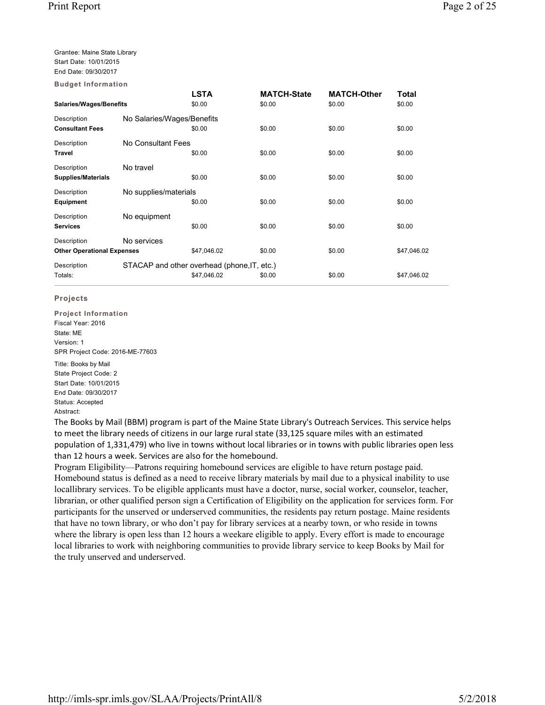Grantee: Maine State Library Start Date: 10/01/2015 End Date: 09/30/2017

**LSTA MATCH-State MATCH-Other Total Salaries/Wages/Benefits** \$0.00 \$0.00 \$0.00 \$0.00 Description No Salaries/Wages/Benefits **Consultant Fees** \$0.00 \$0.00 \$0.00 \$0.00 \$0.00 \$0.00 \$0.00 Description No Consultant Fees **Travel** \$0.00 \$0.00 \$0.00 \$0.00 Description No travel **Supplies/Materials 50.00** \$0.00 \$0.00 \$0.00 \$0.00 \$0.00 \$0.00 Description No supplies/materials **Equipment** \$0.00 \$0.00 \$0.00 \$0.00 Description No equipment **Services** \$0.00 \$0.00 \$0.00 \$0.00 \$0.00 \$0.00 \$0.00 \$0.00 Description **No services Other Operational Expenses** \$47,046.02 \$0.00 \$47,046.02 \$0.00 \$47,046.02 Description STACAP and other overhead (phone, IT, etc.) Totals: \$47,046.02 \$0.00 \$0.00 \$47,046.02 **Budget Information**

# **Projects**

**Project Information** Fiscal Year: 2016 State: ME Version: 1 SPR Project Code: 2016-ME-77603

Title: Books by Mail State Project Code: 2 Start Date: 10/01/2015 End Date: 09/30/2017 Status: Accepted Abstract:

The Books by Mail (BBM) program is part of the Maine State Library's Outreach Services. This service helps to meet the library needs of citizens in our large rural state (33,125 square miles with an estimated population of 1,331,479) who live in towns without local libraries or in towns with public libraries open less than 12 hours a week. Services are also for the homebound.

Program Eligibility—Patrons requiring homebound services are eligible to have return postage paid. Homebound status is defined as a need to receive library materials by mail due to a physical inability to use locallibrary services. To be eligible applicants must have a doctor, nurse, social worker, counselor, teacher, librarian, or other qualified person sign a Certification of Eligibility on the application for services form. For participants for the unserved or underserved communities, the residents pay return postage. Maine residents that have no town library, or who don't pay for library services at a nearby town, or who reside in towns where the library is open less than 12 hours a weekare eligible to apply. Every effort is made to encourage local libraries to work with neighboring communities to provide library service to keep Books by Mail for the truly unserved and underserved.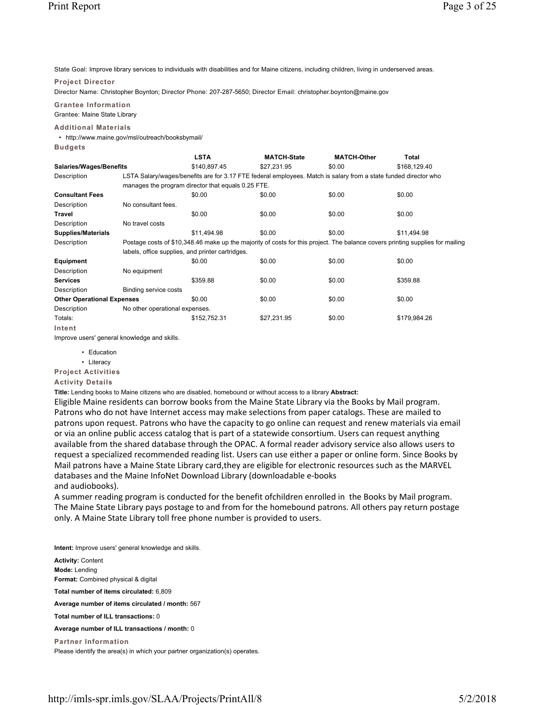State Goal: Improve library services to individuals with disabilities and for Maine citizens, including children, living in underserved areas.

#### **Project Director**

Director Name: Christopher Boynton; Director Phone: 207-287-5650; Director Email: christopher.boynton@maine.gov

**Grantee Information** Grantee: Maine State Library

## **Additional Materials**

• http://www.maine.gov/msl/outreach/booksbymail/

**Budgets**

|                                   |                                | LSTA                                                                                                                          | <b>MATCH-State</b> | <b>MATCH-Other</b> | Total        |  |  |  |  |
|-----------------------------------|--------------------------------|-------------------------------------------------------------------------------------------------------------------------------|--------------------|--------------------|--------------|--|--|--|--|
|                                   | <b>Salaries/Wages/Benefits</b> |                                                                                                                               | \$27,231.95        | \$0.00             | \$168,129.40 |  |  |  |  |
| Description                       |                                | LSTA Salary/wages/benefits are for 3.17 FTE federal employees. Match is salary from a state funded director who               |                    |                    |              |  |  |  |  |
|                                   |                                | manages the program director that equals 0.25 FTE.                                                                            |                    |                    |              |  |  |  |  |
| <b>Consultant Fees</b>            |                                | \$0.00                                                                                                                        | \$0.00             | \$0.00             | \$0.00       |  |  |  |  |
| Description                       | No consultant fees.            |                                                                                                                               |                    |                    |              |  |  |  |  |
| Travel                            |                                | \$0.00                                                                                                                        | \$0.00             | \$0.00             | \$0.00       |  |  |  |  |
| Description                       | No travel costs                |                                                                                                                               |                    |                    |              |  |  |  |  |
| <b>Supplies/Materials</b>         |                                | \$11,494.98                                                                                                                   | \$0.00             | \$0.00             | \$11,494.98  |  |  |  |  |
| Description                       |                                | Postage costs of \$10,348.46 make up the majority of costs for this project. The balance covers printing supplies for mailing |                    |                    |              |  |  |  |  |
|                                   |                                | labels, office supplies, and printer cartridges.                                                                              |                    |                    |              |  |  |  |  |
| Equipment                         |                                | \$0.00                                                                                                                        | \$0.00             | \$0.00             | \$0.00       |  |  |  |  |
| Description                       | No equipment                   |                                                                                                                               |                    |                    |              |  |  |  |  |
| <b>Services</b>                   |                                | \$359.88                                                                                                                      | \$0.00             | \$0.00             | \$359.88     |  |  |  |  |
| Description                       | Binding service costs          |                                                                                                                               |                    |                    |              |  |  |  |  |
| <b>Other Operational Expenses</b> |                                | \$0.00                                                                                                                        | \$0.00             | \$0.00             | \$0.00       |  |  |  |  |
| Description                       | No other operational expenses. |                                                                                                                               |                    |                    |              |  |  |  |  |
| Totals:                           |                                | \$152,752.31                                                                                                                  | \$27,231.95        | \$0.00             | \$179,984.26 |  |  |  |  |
| Intent                            |                                |                                                                                                                               |                    |                    |              |  |  |  |  |

Improve users' general knowledge and skills.

- Education
- Literacy

**Project Activities**

**Activity Details**

**Title:** Lending books to Maine citizens who are disabled, homebound or without access to a library **Abstract:**

Eligible Maine residents can borrow books from the Maine State Library via the Books by Mail program. Patrons who do not have Internet access may make selections from paper catalogs. These are mailed to patrons upon request. Patrons who have the capacity to go online can request and renew materials via email or via an online public access catalog that is part of a statewide consortium. Users can request anything available from the shared database through the OPAC. A formal reader advisory service also allows users to request a specialized recommended reading list. Users can use either a paper or online form. Since Books by Mail patrons have a Maine State Library card,they are eligible for electronic resources such as the MARVEL databases and the Maine InfoNet Download Library (downloadable e-books and audiobooks).

A summer reading program is conducted for the benefit ofchildren enrolled in the Books by Mail program. The Maine State Library pays postage to and from for the homebound patrons. All others pay return postage only. A Maine State Library toll free phone number is provided to users.

**Intent:** Improve users' general knowledge and skills.

**Activity:** Content **Mode:** Lending **Format:** Combined physical & digital **Total number of items circulated:** 6,809 **Average number of items circulated / month:** 567 **Total number of ILL transactions:** 0 **Average number of ILL transactions / month:** 0 **Partner Information** Please identify the area(s) in which your partner organization(s) operates.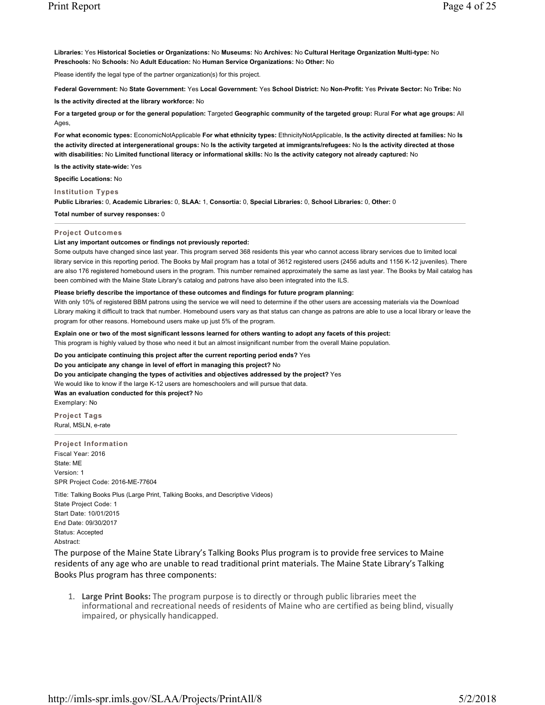**Libraries:** Yes **Historical Societies or Organizations:** No **Museums:** No **Archives:** No **Cultural Heritage Organization Multi-type:** No **Preschools:** No **Schools:** No **Adult Education:** No **Human Service Organizations:** No **Other:** No

Please identify the legal type of the partner organization(s) for this project.

**Federal Government:** No **State Government:** Yes **Local Government:** Yes **School District:** No **Non-Profit:** Yes **Private Sector:** No **Tribe:** No

**Is the activity directed at the library workforce:** No

**For a targeted group or for the general population:** Targeted **Geographic community of the targeted group:** Rural **For what age groups:** All Ages,

**For what economic types:** EconomicNotApplicable **For what ethnicity types:** EthnicityNotApplicable, **Is the activity directed at families:** No **Is the activity directed at intergenerational groups:** No **Is the activity targeted at immigrants/refugees:** No **Is the activity directed at those with disabilities:** No **Limited functional literacy or informational skills:** No **Is the activity category not already captured:** No

**Is the activity state-wide:** Yes

**Specific Locations:** No

**Institution Types Public Libraries:** 0, **Academic Libraries:** 0, **SLAA:** 1, **Consortia:** 0, **Special Libraries:** 0, **School Libraries:** 0, **Other:** 0

**Total number of survey responses:** 0

### **Project Outcomes**

#### **List any important outcomes or findings not previously reported:**

Some outputs have changed since last year. This program served 368 residents this year who cannot access library services due to limited local library service in this reporting period. The Books by Mail program has a total of 3612 registered users (2456 adults and 1156 K-12 juveniles). There are also 176 registered homebound users in the program. This number remained approximately the same as last year. The Books by Mail catalog has been combined with the Maine State Library's catalog and patrons have also been integrated into the ILS.

### **Please briefly describe the importance of these outcomes and findings for future program planning:**

With only 10% of registered BBM patrons using the service we will need to determine if the other users are accessing materials via the Download Library making it difficult to track that number. Homebound users vary as that status can change as patrons are able to use a local library or leave the program for other reasons. Homebound users make up just 5% of the program.

**Explain one or two of the most significant lessons learned for others wanting to adopt any facets of this project:**

This program is highly valued by those who need it but an almost insignificant number from the overall Maine population.

**Do you anticipate continuing this project after the current reporting period ends?** Yes **Do you anticipate any change in level of effort in managing this project?** No **Do you anticipate changing the types of activities and objectives addressed by the project?** Yes We would like to know if the large K-12 users are homeschoolers and will pursue that data. **Was an evaluation conducted for this project?** No

Exemplary: No

**Project Tags** Rural, MSLN, e-rate

**Project Information** Fiscal Year: 2016 State: ME Version: 1 SPR Project Code: 2016-ME-77604 Title: Talking Books Plus (Large Print, Talking Books, and Descriptive Videos)

State Project Code: 1 Start Date: 10/01/2015 End Date: 09/30/2017 Status: Accepted Abstract:

The purpose of the Maine State Library's Talking Books Plus program is to provide free services to Maine residents of any age who are unable to read traditional print materials. The Maine State Library's Talking Books Plus program has three components:

1. **Large Print Books:** The program purpose is to directly or through public libraries meet the informational and recreational needs of residents of Maine who are certified as being blind, visually impaired, or physically handicapped.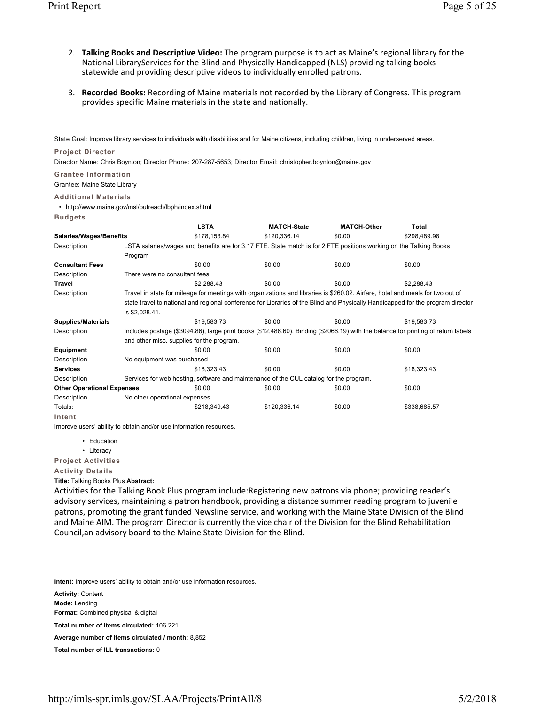- 2. **Talking Books and Descriptive Video:** The program purpose is to act as Maine's regional library for the National LibraryServices for the Blind and Physically Handicapped (NLS) providing talking books statewide and providing descriptive videos to individually enrolled patrons.
- 3. **Recorded Books:** Recording of Maine materials not recorded by the Library of Congress. This program provides specific Maine materials in the state and nationally.

State Goal: Improve library services to individuals with disabilities and for Maine citizens, including children, living in underserved areas.

# **Project Director**

Director Name: Chris Boynton; Director Phone: 207-287-5653; Director Email: christopher.boynton@maine.gov

## **Grantee Information**

Grantee: Maine State Library

## **Additional Materials**

• http://www.maine.gov/msl/outreach/lbph/index.shtml

**Budgets**

|                                   |                                                                                                                                   | <b>LSTA</b>                               | <b>MATCH-State</b>                                                                                                             | <b>MATCH-Other</b> | Total                                                                                                                           |  |  |  |
|-----------------------------------|-----------------------------------------------------------------------------------------------------------------------------------|-------------------------------------------|--------------------------------------------------------------------------------------------------------------------------------|--------------------|---------------------------------------------------------------------------------------------------------------------------------|--|--|--|
| <b>Salaries/Wages/Benefits</b>    |                                                                                                                                   | \$178,153.84                              | \$120,336.14                                                                                                                   | \$0.00             | \$298,489.98                                                                                                                    |  |  |  |
| Description                       |                                                                                                                                   |                                           | LSTA salaries/wages and benefits are for 3.17 FTE. State match is for 2 FTE positions working on the Talking Books             |                    |                                                                                                                                 |  |  |  |
|                                   | Program                                                                                                                           |                                           |                                                                                                                                |                    |                                                                                                                                 |  |  |  |
| <b>Consultant Fees</b>            |                                                                                                                                   | \$0.00                                    | \$0.00                                                                                                                         | \$0.00             | \$0.00                                                                                                                          |  |  |  |
| Description                       | There were no consultant fees                                                                                                     |                                           |                                                                                                                                |                    |                                                                                                                                 |  |  |  |
| <b>Travel</b>                     |                                                                                                                                   | \$2,288.43                                | \$0.00                                                                                                                         | \$0.00             | \$2,288.43                                                                                                                      |  |  |  |
| Description                       |                                                                                                                                   |                                           | Travel in state for mileage for meetings with organizations and libraries is \$260.02. Airfare, hotel and meals for two out of |                    |                                                                                                                                 |  |  |  |
|                                   |                                                                                                                                   |                                           |                                                                                                                                |                    | state travel to national and regional conference for Libraries of the Blind and Physically Handicapped for the program director |  |  |  |
|                                   | is \$2,028.41.                                                                                                                    |                                           |                                                                                                                                |                    |                                                                                                                                 |  |  |  |
| <b>Supplies/Materials</b>         |                                                                                                                                   | \$19,583.73                               | \$0.00                                                                                                                         | \$0.00             | \$19,583.73                                                                                                                     |  |  |  |
| Description                       | Includes postage (\$3094.86), large print books (\$12,486.60), Binding (\$2066.19) with the balance for printing of return labels |                                           |                                                                                                                                |                    |                                                                                                                                 |  |  |  |
|                                   |                                                                                                                                   | and other misc. supplies for the program. |                                                                                                                                |                    |                                                                                                                                 |  |  |  |
| Equipment                         |                                                                                                                                   | \$0.00                                    | \$0.00                                                                                                                         | \$0.00             | \$0.00                                                                                                                          |  |  |  |
| Description                       | No equipment was purchased                                                                                                        |                                           |                                                                                                                                |                    |                                                                                                                                 |  |  |  |
| <b>Services</b>                   |                                                                                                                                   | \$18,323.43                               | \$0.00                                                                                                                         | \$0.00             | \$18,323.43                                                                                                                     |  |  |  |
| Description                       |                                                                                                                                   |                                           | Services for web hosting, software and maintenance of the CUL catalog for the program.                                         |                    |                                                                                                                                 |  |  |  |
| <b>Other Operational Expenses</b> |                                                                                                                                   | \$0.00                                    | \$0.00                                                                                                                         | \$0.00             | \$0.00                                                                                                                          |  |  |  |
| Description                       | No other operational expenses                                                                                                     |                                           |                                                                                                                                |                    |                                                                                                                                 |  |  |  |
| Totals:                           |                                                                                                                                   | \$218,349.43                              | \$120,336.14                                                                                                                   | \$0.00             | \$338,685.57                                                                                                                    |  |  |  |
| Intent                            |                                                                                                                                   |                                           |                                                                                                                                |                    |                                                                                                                                 |  |  |  |

Improve users' ability to obtain and/or use information resources.

• Education

• Literacy

**Project Activities**

**Activity Details**

**Title:** Talking Books Plus **Abstract:**

Activities for the Talking Book Plus program include:Registering new patrons via phone; providing reader's advisory services, maintaining a patron handbook, providing a distance summer reading program to juvenile patrons, promoting the grant funded Newsline service, and working with the Maine State Division of the Blind and Maine AIM. The program Director is currently the vice chair of the Division for the Blind Rehabilitation Council,an advisory board to the Maine State Division for the Blind.

**Intent:** Improve users' ability to obtain and/or use information resources.

**Activity:** Content **Mode:** Lending **Format:** Combined physical & digital **Total number of items circulated:** 106,221 **Average number of items circulated / month:** 8,852 **Total number of ILL transactions:** 0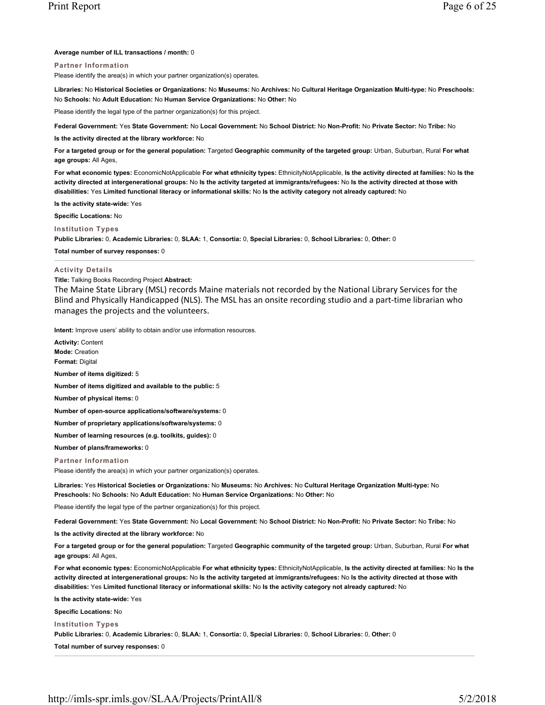## **Average number of ILL transactions / month:** 0

# **Partner Information**

Please identify the area(s) in which your partner organization(s) operates.

**Libraries:** No **Historical Societies or Organizations:** No **Museums:** No **Archives:** No **Cultural Heritage Organization Multi-type:** No **Preschools:** No **Schools:** No **Adult Education:** No **Human Service Organizations:** No **Other:** No

Please identify the legal type of the partner organization(s) for this project.

**Federal Government:** Yes **State Government:** No **Local Government:** No **School District:** No **Non-Profit:** No **Private Sector:** No **Tribe:** No

**Is the activity directed at the library workforce:** No

**For a targeted group or for the general population:** Targeted **Geographic community of the targeted group:** Urban, Suburban, Rural **For what age groups:** All Ages,

**For what economic types:** EconomicNotApplicable **For what ethnicity types:** EthnicityNotApplicable, **Is the activity directed at families:** No **Is the activity directed at intergenerational groups:** No **Is the activity targeted at immigrants/refugees:** No **Is the activity directed at those with disabilities:** Yes **Limited functional literacy or informational skills:** No **Is the activity category not already captured:** No

**Is the activity state-wide:** Yes

**Specific Locations:** No

**Institution Types**

**Public Libraries:** 0, **Academic Libraries:** 0, **SLAA:** 1, **Consortia:** 0, **Special Libraries:** 0, **School Libraries:** 0, **Other:** 0

**Total number of survey responses:** 0

### **Activity Details**

#### **Title:** Talking Books Recording Project **Abstract:**

The Maine State Library (MSL) records Maine materials not recorded by the National Library Services for the Blind and Physically Handicapped (NLS). The MSL has an onsite recording studio and a part-time librarian who manages the projects and the volunteers.

**Intent:** Improve users' ability to obtain and/or use information resources.

**Activity:** Content **Mode:** Creation **Format:** Digital **Number of items digitized:** 5 **Number of items digitized and available to the public:** 5 **Number of physical items:** 0 **Number of open-source applications/software/systems:** 0 **Number of proprietary applications/software/systems:** 0 **Number of learning resources (e.g. toolkits, guides):** 0 **Number of plans/frameworks:** 0 **Partner Information** Please identify the area(s) in which your partner organization(s) operates. **Libraries:** Yes **Historical Societies or Organizations:** No **Museums:** No **Archives:** No **Cultural Heritage Organization Multi-type:** No **Preschools:** No **Schools:** No **Adult Education:** No **Human Service Organizations:** No **Other:** No Please identify the legal type of the partner organization(s) for this project.

**Federal Government:** Yes **State Government:** No **Local Government:** No **School District:** No **Non-Profit:** No **Private Sector:** No **Tribe:** No

**Is the activity directed at the library workforce:** No

**For a targeted group or for the general population:** Targeted **Geographic community of the targeted group:** Urban, Suburban, Rural **For what age groups:** All Ages,

**For what economic types:** EconomicNotApplicable **For what ethnicity types:** EthnicityNotApplicable, **Is the activity directed at families:** No **Is the activity directed at intergenerational groups:** No **Is the activity targeted at immigrants/refugees:** No **Is the activity directed at those with disabilities:** Yes **Limited functional literacy or informational skills:** No **Is the activity category not already captured:** No

**Is the activity state-wide:** Yes

**Specific Locations:** No

**Institution Types**

**Public Libraries:** 0, **Academic Libraries:** 0, **SLAA:** 1, **Consortia:** 0, **Special Libraries:** 0, **School Libraries:** 0, **Other:** 0

**Total number of survey responses:** 0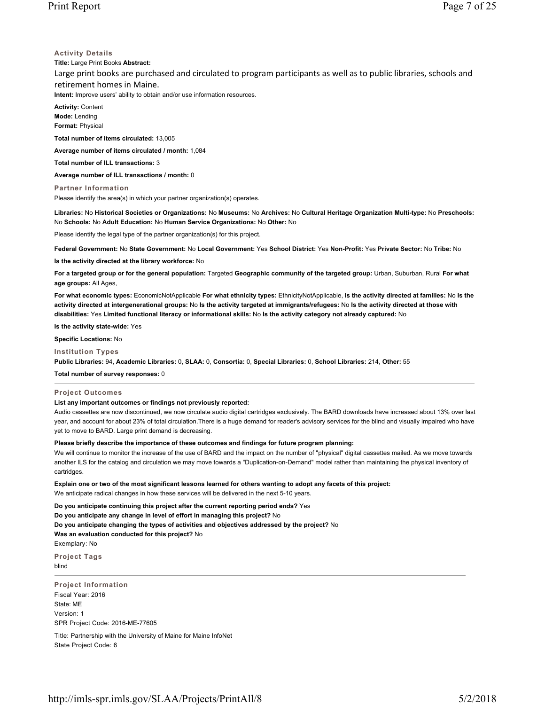# **Activity Details**

**Title:** Large Print Books **Abstract:** Large print books are purchased and circulated to program participants as well as to public libraries, schools and retirement homes in Maine. **Intent:** Improve users' ability to obtain and/or use information resources.

**Activity:** Content **Mode:** Lending **Format:** Physical

**Total number of items circulated:** 13,005

**Average number of items circulated / month:** 1,084

**Total number of ILL transactions:** 3

**Average number of ILL transactions / month:** 0

**Partner Information**

Please identify the area(s) in which your partner organization(s) operates.

**Libraries:** No **Historical Societies or Organizations:** No **Museums:** No **Archives:** No **Cultural Heritage Organization Multi-type:** No **Preschools:** No **Schools:** No **Adult Education:** No **Human Service Organizations:** No **Other:** No

Please identify the legal type of the partner organization(s) for this project.

**Federal Government:** No **State Government:** No **Local Government:** Yes **School District:** Yes **Non-Profit:** Yes **Private Sector:** No **Tribe:** No

**Is the activity directed at the library workforce:** No

For a targeted group or for the general population: Targeted Geographic community of the targeted group: Urban, Suburban, Rural For what **age groups:** All Ages,

**For what economic types:** EconomicNotApplicable **For what ethnicity types:** EthnicityNotApplicable, **Is the activity directed at families:** No **Is the activity directed at intergenerational groups:** No **Is the activity targeted at immigrants/refugees:** No **Is the activity directed at those with disabilities:** Yes **Limited functional literacy or informational skills:** No **Is the activity category not already captured:** No

**Is the activity state-wide:** Yes

**Specific Locations:** No

**Institution Types**

**Public Libraries:** 94, **Academic Libraries:** 0, **SLAA:** 0, **Consortia:** 0, **Special Libraries:** 0, **School Libraries:** 214, **Other:** 55

**Total number of survey responses:** 0

#### **Project Outcomes**

**List any important outcomes or findings not previously reported:**

Audio cassettes are now discontinued, we now circulate audio digital cartridges exclusively. The BARD downloads have increased about 13% over last year, and account for about 23% of total circulation.There is a huge demand for reader's advisory services for the blind and visually impaired who have yet to move to BARD. Large print demand is decreasing.

# **Please briefly describe the importance of these outcomes and findings for future program planning:**

We will continue to monitor the increase of the use of BARD and the impact on the number of "physical" digital cassettes mailed. As we move towards another ILS for the catalog and circulation we may move towards a "Duplication-on-Demand" model rather than maintaining the physical inventory of cartridges.

**Explain one or two of the most significant lessons learned for others wanting to adopt any facets of this project:**

We anticipate radical changes in how these services will be delivered in the next 5-10 years.

**Do you anticipate continuing this project after the current reporting period ends?** Yes

**Do you anticipate any change in level of effort in managing this project?** No

**Do you anticipate changing the types of activities and objectives addressed by the project?** No

**Was an evaluation conducted for this project?** No

Exemplary: No

**Project Tags** blind

**Project Information** Fiscal Year: 2016 State: ME Version: 1 SPR Project Code: 2016-ME-77605

Title: Partnership with the University of Maine for Maine InfoNet State Project Code: 6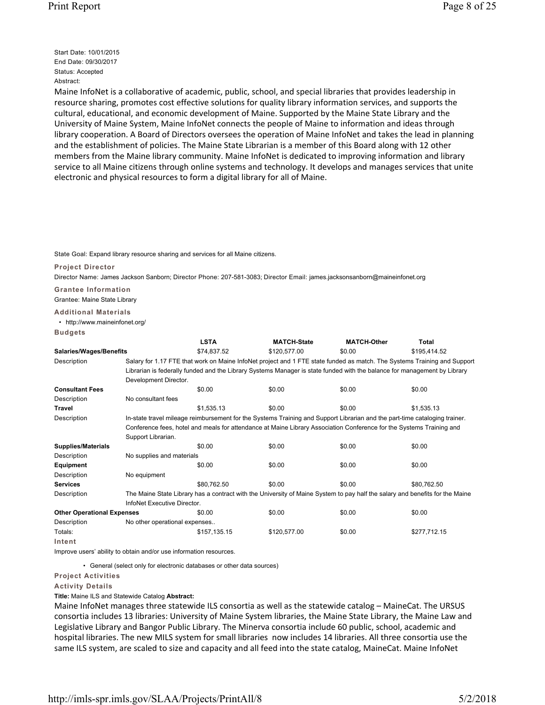Start Date: 10/01/2015 End Date: 09/30/2017 Status: Accepted Abstract:

Maine InfoNet is a collaborative of academic, public, school, and special libraries that provides leadership in resource sharing, promotes cost effective solutions for quality library information services, and supports the cultural, educational, and economic development of Maine. Supported by the Maine State Library and the University of Maine System, Maine InfoNet connects the people of Maine to information and ideas through library cooperation. A Board of Directors oversees the operation of Maine InfoNet and takes the lead in planning and the establishment of policies. The Maine State Librarian is a member of this Board along with 12 other members from the Maine library community. Maine InfoNet is dedicated to improving information and library service to all Maine citizens through online systems and technology. It develops and manages services that unite electronic and physical resources to form a digital library for all of Maine.

State Goal: Expand library resource sharing and services for all Maine citizens.

#### **Project Director**

Director Name: James Jackson Sanborn; Director Phone: 207-581-3083; Director Email: james.jacksonsanborn@maineinfonet.org

**Grantee Information** Grantee: Maine State Library

**Additional Materials**

• http://www.maineinfonet.org/ **Budgets**

|                                   |                                                                                                                              | <b>LSTA</b>  | <b>MATCH-State</b>                                                                                                         | <b>MATCH-Other</b> | Total                                                                                                                    |  |  |  |
|-----------------------------------|------------------------------------------------------------------------------------------------------------------------------|--------------|----------------------------------------------------------------------------------------------------------------------------|--------------------|--------------------------------------------------------------------------------------------------------------------------|--|--|--|
| <b>Salaries/Wages/Benefits</b>    |                                                                                                                              | \$74,837.52  | \$120,577.00                                                                                                               | \$0.00             | \$195,414.52                                                                                                             |  |  |  |
| Description                       |                                                                                                                              |              |                                                                                                                            |                    | Salary for 1.17 FTE that work on Maine InfoNet project and 1 FTE state funded as match. The Systems Training and Support |  |  |  |
|                                   |                                                                                                                              |              | Librarian is federally funded and the Library Systems Manager is state funded with the balance for management by Library   |                    |                                                                                                                          |  |  |  |
|                                   | Development Director.                                                                                                        |              |                                                                                                                            |                    |                                                                                                                          |  |  |  |
| <b>Consultant Fees</b>            |                                                                                                                              | \$0.00       | \$0.00                                                                                                                     | \$0.00             | \$0.00                                                                                                                   |  |  |  |
| Description                       | No consultant fees                                                                                                           |              |                                                                                                                            |                    |                                                                                                                          |  |  |  |
| <b>Travel</b>                     |                                                                                                                              | \$1,535.13   | \$0.00                                                                                                                     | \$0.00             | \$1,535.13                                                                                                               |  |  |  |
| Description                       |                                                                                                                              |              | In-state travel mileage reimbursement for the Systems Training and Support Librarian and the part-time cataloging trainer. |                    |                                                                                                                          |  |  |  |
|                                   |                                                                                                                              |              | Conference fees, hotel and meals for attendance at Maine Library Association Conference for the Systems Training and       |                    |                                                                                                                          |  |  |  |
|                                   | Support Librarian.                                                                                                           |              |                                                                                                                            |                    |                                                                                                                          |  |  |  |
| <b>Supplies/Materials</b>         |                                                                                                                              | \$0.00       | \$0.00                                                                                                                     | \$0.00             | \$0.00                                                                                                                   |  |  |  |
| Description                       | No supplies and materials                                                                                                    |              |                                                                                                                            |                    |                                                                                                                          |  |  |  |
| Equipment                         |                                                                                                                              | \$0.00       | \$0.00                                                                                                                     | \$0.00             | \$0.00                                                                                                                   |  |  |  |
| Description                       | No equipment                                                                                                                 |              |                                                                                                                            |                    |                                                                                                                          |  |  |  |
| <b>Services</b>                   |                                                                                                                              | \$80,762.50  | \$0.00                                                                                                                     | \$0.00             | \$80,762.50                                                                                                              |  |  |  |
| Description                       | The Maine State Library has a contract with the University of Maine System to pay half the salary and benefits for the Maine |              |                                                                                                                            |                    |                                                                                                                          |  |  |  |
|                                   | InfoNet Executive Director.                                                                                                  |              |                                                                                                                            |                    |                                                                                                                          |  |  |  |
| <b>Other Operational Expenses</b> |                                                                                                                              | \$0.00       | \$0.00                                                                                                                     | \$0.00             | \$0.00                                                                                                                   |  |  |  |
| Description                       | No other operational expenses                                                                                                |              |                                                                                                                            |                    |                                                                                                                          |  |  |  |
| Totals:                           |                                                                                                                              | \$157,135.15 | \$120,577.00                                                                                                               | \$0.00             | \$277,712.15                                                                                                             |  |  |  |
| Intent                            |                                                                                                                              |              |                                                                                                                            |                    |                                                                                                                          |  |  |  |

Improve users' ability to obtain and/or use information resources.

• General (select only for electronic databases or other data sources)

# **Project Activities**

**Activity Details**

**Title:** Maine ILS and Statewide Catalog **Abstract:**

Maine InfoNet manages three statewide ILS consortia as well as the statewide catalog – MaineCat. The URSUS consortia includes 13 libraries: University of Maine System libraries, the Maine State Library, the Maine Law and Legislative Library and Bangor Public Library. The Minerva consortia include 60 public, school, academic and hospital libraries. The new MILS system for small libraries now includes 14 libraries. All three consortia use the same ILS system, are scaled to size and capacity and all feed into the state catalog, MaineCat. Maine InfoNet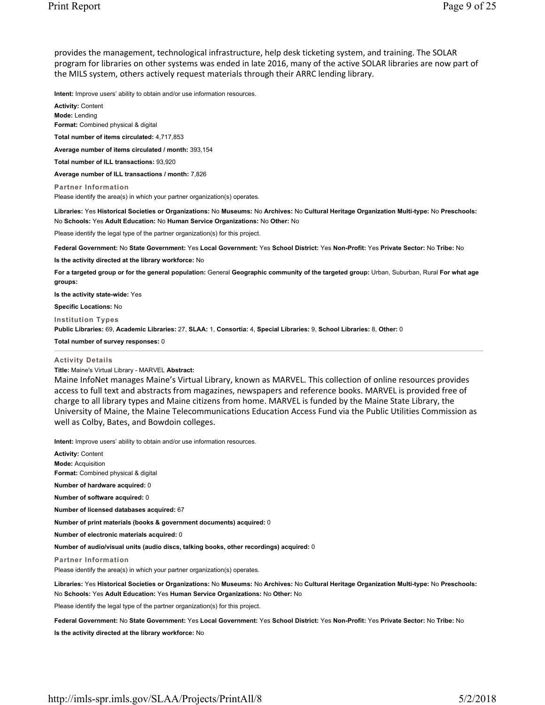provides the management, technological infrastructure, help desk ticketing system, and training. The SOLAR program for libraries on other systems was ended in late 2016, many of the active SOLAR libraries are now part of the MILS system, others actively request materials through their ARRC lending library.

**Intent:** Improve users' ability to obtain and/or use information resources.

**Activity:** Content **Mode:** Lending **Format:** Combined physical & digital **Total number of items circulated:** 4,717,853 **Average number of items circulated / month:** 393,154 **Total number of ILL transactions:** 93,920 **Average number of ILL transactions / month:** 7,826 **Partner Information** Please identify the area(s) in which your partner organization(s) operates. **Libraries:** Yes **Historical Societies or Organizations:** No **Museums:** No **Archives:** No **Cultural Heritage Organization Multi-type:** No **Preschools:** No **Schools:** Yes **Adult Education:** No **Human Service Organizations:** No **Other:** No Please identify the legal type of the partner organization(s) for this project.

**Federal Government:** No **State Government:** Yes **Local Government:** Yes **School District:** Yes **Non-Profit:** Yes **Private Sector:** No **Tribe:** No

**Is the activity directed at the library workforce:** No

**For a targeted group or for the general population:** General **Geographic community of the targeted group:** Urban, Suburban, Rural **For what age groups:** 

**Is the activity state-wide:** Yes

**Specific Locations:** No

**Institution Types**

**Public Libraries:** 69, **Academic Libraries:** 27, **SLAA:** 1, **Consortia:** 4, **Special Libraries:** 9, **School Libraries:** 8, **Other:** 0

**Total number of survey responses:** 0

## **Activity Details**

**Title:** Maine's Virtual Library - MARVEL **Abstract:**

Maine InfoNet manages Maine's Virtual Library, known as MARVEL. This collection of online resources provides access to full text and abstracts from magazines, newspapers and reference books. MARVEL is provided free of charge to all library types and Maine citizens from home. MARVEL is funded by the Maine State Library, the University of Maine, the Maine Telecommunications Education Access Fund via the Public Utilities Commission as well as Colby, Bates, and Bowdoin colleges.

**Intent:** Improve users' ability to obtain and/or use information resources.

**Activity:** Content **Mode:** Acquisition **Format:** Combined physical & digital **Number of hardware acquired:** 0 **Number of software acquired:** 0 **Number of licensed databases acquired:** 67 **Number of print materials (books & government documents) acquired:** 0 **Number of electronic materials acquired:** 0 **Number of audio/visual units (audio discs, talking books, other recordings) acquired:** 0 **Partner Information** Please identify the area(s) in which your partner organization(s) operates. **Libraries:** Yes **Historical Societies or Organizations:** No **Museums:** No **Archives:** No **Cultural Heritage Organization Multi-type:** No **Preschools:** No **Schools:** Yes **Adult Education:** Yes **Human Service Organizations:** No **Other:** No Please identify the legal type of the partner organization(s) for this project.

**Federal Government:** No **State Government:** Yes **Local Government:** Yes **School District:** Yes **Non-Profit:** Yes **Private Sector:** No **Tribe:** No

**Is the activity directed at the library workforce:** No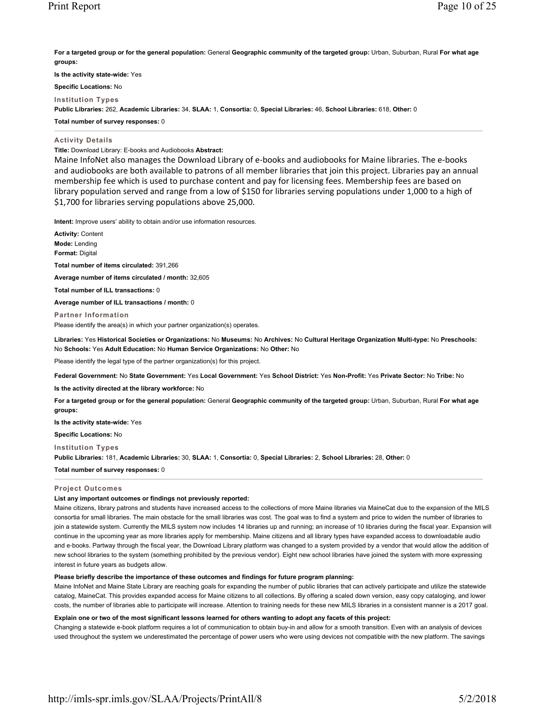**For a targeted group or for the general population:** General **Geographic community of the targeted group:** Urban, Suburban, Rural **For what age groups:** 

**Is the activity state-wide:** Yes

**Specific Locations:** No

**Institution Types**

**Public Libraries:** 262, **Academic Libraries:** 34, **SLAA:** 1, **Consortia:** 0, **Special Libraries:** 46, **School Libraries:** 618, **Other:** 0

**Total number of survey responses:** 0

### **Activity Details**

**Title:** Download Library: E-books and Audiobooks **Abstract:**

Maine InfoNet also manages the Download Library of e-books and audiobooks for Maine libraries. The e-books and audiobooks are both available to patrons of all member libraries that join this project. Libraries pay an annual membership fee which is used to purchase content and pay for licensing fees. Membership fees are based on library population served and range from a low of \$150 for libraries serving populations under 1,000 to a high of \$1,700 for libraries serving populations above 25,000.

**Intent:** Improve users' ability to obtain and/or use information resources.

**Activity:** Content **Mode:** Lending **Format:** Digital

**Total number of items circulated:** 391,266

**Average number of items circulated / month:** 32,605

**Total number of ILL transactions:** 0

**Average number of ILL transactions / month:** 0

**Partner Information** Please identify the area(s) in which your partner organization(s) operates.

**Libraries:** Yes **Historical Societies or Organizations:** No **Museums:** No **Archives:** No **Cultural Heritage Organization Multi-type:** No **Preschools:** No **Schools:** Yes **Adult Education:** No **Human Service Organizations:** No **Other:** No

Please identify the legal type of the partner organization(s) for this project.

**Federal Government:** No **State Government:** Yes **Local Government:** Yes **School District:** Yes **Non-Profit:** Yes **Private Sector:** No **Tribe:** No

**Is the activity directed at the library workforce:** No

**For a targeted group or for the general population:** General **Geographic community of the targeted group:** Urban, Suburban, Rural **For what age groups:** 

**Is the activity state-wide:** Yes

**Specific Locations:** No

**Institution Types**

**Public Libraries:** 181, **Academic Libraries:** 30, **SLAA:** 1, **Consortia:** 0, **Special Libraries:** 2, **School Libraries:** 28, **Other:** 0

**Total number of survey responses:** 0

### **Project Outcomes**

# **List any important outcomes or findings not previously reported:**

Maine citizens, library patrons and students have increased access to the collections of more Maine libraries via MaineCat due to the expansion of the MILS consortia for small libraries. The main obstacle for the small libraries was cost. The goal was to find a system and price to widen the number of libraries to join a statewide system. Currently the MILS system now includes 14 libraries up and running; an increase of 10 libraries during the fiscal year. Expansion will continue in the upcoming year as more libraries apply for membership. Maine citizens and all library types have expanded access to downloadable audio and e-books. Partway through the fiscal year, the Download Library platform was changed to a system provided by a vendor that would allow the addition of new school libraries to the system (something prohibited by the previous vendor). Eight new school libraries have joined the system with more expressing interest in future years as budgets allow.

### **Please briefly describe the importance of these outcomes and findings for future program planning:**

Maine InfoNet and Maine State Library are reaching goals for expanding the number of public libraries that can actively participate and utilize the statewide catalog, MaineCat. This provides expanded access for Maine citizens to all collections. By offering a scaled down version, easy copy cataloging, and lower costs, the number of libraries able to participate will increase. Attention to training needs for these new MILS libraries in a consistent manner is a 2017 goal.

**Explain one or two of the most significant lessons learned for others wanting to adopt any facets of this project:**

Changing a statewide e-book platform requires a lot of communication to obtain buy-in and allow for a smooth transition. Even with an analysis of devices used throughout the system we underestimated the percentage of power users who were using devices not compatible with the new platform. The savings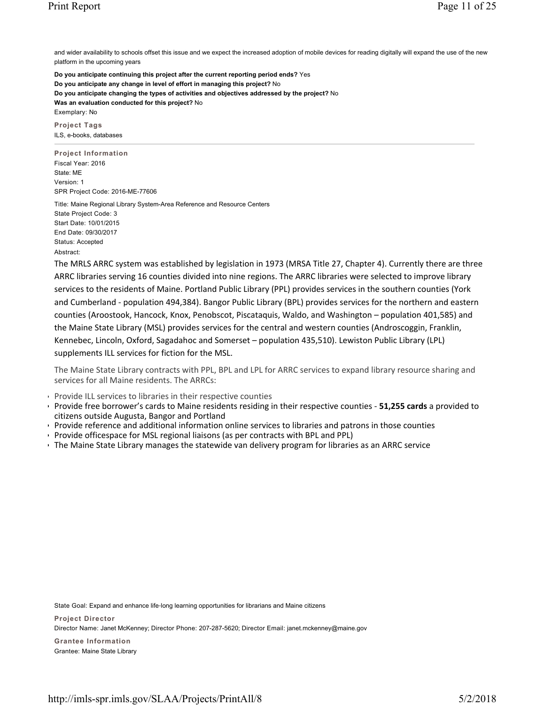and wider availability to schools offset this issue and we expect the increased adoption of mobile devices for reading digitally will expand the use of the new platform in the upcoming years

**Do you anticipate continuing this project after the current reporting period ends?** Yes **Do you anticipate any change in level of effort in managing this project?** No **Do you anticipate changing the types of activities and objectives addressed by the project?** No **Was an evaluation conducted for this project?** No Exemplary: No

**Project Tags** ILS, e-books, databases

**Project Information** Fiscal Year: 2016 State: ME Version: 1 SPR Project Code: 2016-ME-77606

Title: Maine Regional Library System-Area Reference and Resource Centers State Project Code: 3 Start Date: 10/01/2015 End Date: 09/30/2017 Status: Accepted Abstract:

The MRLS ARRC system was established by legislation in 1973 (MRSA Title 27, Chapter 4). Currently there are three ARRC libraries serving 16 counties divided into nine regions. The ARRC libraries were selected to improve library services to the residents of Maine. Portland Public Library (PPL) provides services in the southern counties (York and Cumberland - population 494,384). Bangor Public Library (BPL) provides services for the northern and eastern counties (Aroostook, Hancock, Knox, Penobscot, Piscataquis, Waldo, and Washington – population 401,585) and the Maine State Library (MSL) provides services for the central and western counties (Androscoggin, Franklin, Kennebec, Lincoln, Oxford, Sagadahoc and Somerset – population 435,510). Lewiston Public Library (LPL) supplements ILL services for fiction for the MSL.

The Maine State Library contracts with PPL, BPL and LPL for ARRC services to expand library resource sharing and services for all Maine residents. The ARRCs:

- Provide ILL services to libraries in their respective counties
- Provide free borrower's cards to Maine residents residing in their respective counties **51,255 cards** a provided to citizens outside Augusta, Bangor and Portland
- Provide reference and additional information online services to libraries and patrons in those counties
- Provide officespace for MSL regional liaisons (as per contracts with BPL and PPL)
- The Maine State Library manages the statewide van delivery program for libraries as an ARRC service

State Goal: Expand and enhance life‐long learning opportunities for librarians and Maine citizens **Project Director** Director Name: Janet McKenney; Director Phone: 207-287-5620; Director Email: janet.mckenney@maine.gov **Grantee Information** Grantee: Maine State Library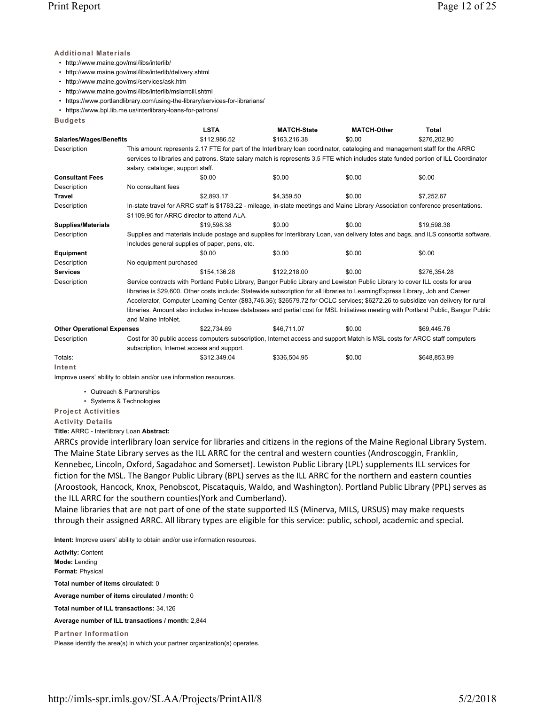# **Additional Materials**

• http://www.maine.gov/msl/libs/interlib/

- http://www.maine.gov/msl/libs/interlib/delivery.shtml
- http://www.maine.gov/msl/services/ask.htm
- http://www.maine.gov/msl/libs/interlib/mslarrcill.shtml
- https://www.portlandlibrary.com/using-the-library/services-for-librarians/
- https://www.bpl.lib.me.us/interlibrary-loans-for-patrons/

**Budgets**

|                                   |                                                                                                                                     | <b>LSTA</b>                                                                                                                         | <b>MATCH-State</b> | <b>MATCH-Other</b> | Total                                                                                                                              |  |  |  |  |
|-----------------------------------|-------------------------------------------------------------------------------------------------------------------------------------|-------------------------------------------------------------------------------------------------------------------------------------|--------------------|--------------------|------------------------------------------------------------------------------------------------------------------------------------|--|--|--|--|
| <b>Salaries/Wages/Benefits</b>    |                                                                                                                                     | \$112,986.52                                                                                                                        | \$163,216.38       | \$0.00             | \$276.202.90                                                                                                                       |  |  |  |  |
| Description                       |                                                                                                                                     | This amount represents 2.17 FTE for part of the Interlibrary loan coordinator, cataloging and management staff for the ARRC         |                    |                    |                                                                                                                                    |  |  |  |  |
|                                   |                                                                                                                                     |                                                                                                                                     |                    |                    | services to libraries and patrons. State salary match is represents 3.5 FTE which includes state funded portion of ILL Coordinator |  |  |  |  |
|                                   | salary, cataloger, support staff.                                                                                                   |                                                                                                                                     |                    |                    |                                                                                                                                    |  |  |  |  |
| <b>Consultant Fees</b>            |                                                                                                                                     | \$0.00                                                                                                                              | \$0.00             | \$0.00             | \$0.00                                                                                                                             |  |  |  |  |
| Description                       | No consultant fees                                                                                                                  |                                                                                                                                     |                    |                    |                                                                                                                                    |  |  |  |  |
| <b>Travel</b>                     |                                                                                                                                     | \$2,893.17                                                                                                                          | \$4.359.50         | \$0.00             | \$7,252.67                                                                                                                         |  |  |  |  |
| Description                       |                                                                                                                                     | In-state travel for ARRC staff is \$1783.22 - mileage, in-state meetings and Maine Library Association conference presentations.    |                    |                    |                                                                                                                                    |  |  |  |  |
|                                   |                                                                                                                                     | \$1109.95 for ARRC director to attend ALA.                                                                                          |                    |                    |                                                                                                                                    |  |  |  |  |
| <b>Supplies/Materials</b>         |                                                                                                                                     | \$19,598.38                                                                                                                         | \$0.00             | \$0.00             | \$19,598.38                                                                                                                        |  |  |  |  |
| Description                       | Supplies and materials include postage and supplies for Interlibrary Loan, van delivery totes and bags, and ILS consortia software. |                                                                                                                                     |                    |                    |                                                                                                                                    |  |  |  |  |
|                                   |                                                                                                                                     | Includes general supplies of paper, pens, etc.                                                                                      |                    |                    |                                                                                                                                    |  |  |  |  |
| <b>Equipment</b>                  |                                                                                                                                     | \$0.00                                                                                                                              | \$0.00             | \$0.00             | \$0.00                                                                                                                             |  |  |  |  |
| Description                       | No equipment purchased                                                                                                              |                                                                                                                                     |                    |                    |                                                                                                                                    |  |  |  |  |
| <b>Services</b>                   |                                                                                                                                     | \$154.136.28                                                                                                                        | \$122,218.00       | \$0.00             | \$276.354.28                                                                                                                       |  |  |  |  |
| Description                       |                                                                                                                                     | Service contracts with Portland Public Library, Bangor Public Library and Lewiston Public Library to cover ILL costs for area       |                    |                    |                                                                                                                                    |  |  |  |  |
|                                   |                                                                                                                                     | libraries is \$29,600. Other costs include: Statewide subscription for all libraries to Learning Express Library, Job and Career    |                    |                    |                                                                                                                                    |  |  |  |  |
|                                   |                                                                                                                                     |                                                                                                                                     |                    |                    | Accelerator, Computer Learning Center (\$83,746.36); \$26579.72 for OCLC services; \$6272.26 to subsidize van delivery for rural   |  |  |  |  |
|                                   |                                                                                                                                     | libraries. Amount also includes in-house databases and partial cost for MSL Initiatives meeting with Portland Public, Bangor Public |                    |                    |                                                                                                                                    |  |  |  |  |
|                                   | and Maine InfoNet.                                                                                                                  |                                                                                                                                     |                    |                    |                                                                                                                                    |  |  |  |  |
| <b>Other Operational Expenses</b> |                                                                                                                                     | \$22,734.69                                                                                                                         | \$46.711.07        | \$0.00             | \$69,445.76                                                                                                                        |  |  |  |  |
| Description                       |                                                                                                                                     | Cost for 30 public access computers subscription, Internet access and support Match is MSL costs for ARCC staff computers           |                    |                    |                                                                                                                                    |  |  |  |  |
|                                   |                                                                                                                                     | subscription, Internet access and support.                                                                                          |                    |                    |                                                                                                                                    |  |  |  |  |
| Totals:                           |                                                                                                                                     | \$312,349.04                                                                                                                        | \$336,504.95       | \$0.00             | \$648,853.99                                                                                                                       |  |  |  |  |
| Intent                            |                                                                                                                                     |                                                                                                                                     |                    |                    |                                                                                                                                    |  |  |  |  |

Improve users' ability to obtain and/or use information resources.

• Outreach & Partnerships

• Systems & Technologies

**Project Activities**

**Activity Details**

**Title:** ARRC - Interlibrary Loan **Abstract:**

ARRCs provide interlibrary loan service for libraries and citizens in the regions of the Maine Regional Library System. The Maine State Library serves as the ILL ARRC for the central and western counties (Androscoggin, Franklin, Kennebec, Lincoln, Oxford, Sagadahoc and Somerset). Lewiston Public Library (LPL) supplements ILL services for fiction for the MSL. The Bangor Public Library (BPL) serves as the ILL ARRC for the northern and eastern counties (Aroostook, Hancock, Knox, Penobscot, Piscataquis, Waldo, and Washington). Portland Public Library (PPL) serves as the ILL ARRC for the southern counties(York and Cumberland).

Maine libraries that are not part of one of the state supported ILS (Minerva, MILS, URSUS) may make requests through their assigned ARRC. All library types are eligible for this service: public, school, academic and special.

**Intent:** Improve users' ability to obtain and/or use information resources.

**Activity:** Content **Mode:** Lending **Format:** Physical **Total number of items circulated:** 0 **Average number of items circulated / month:** 0 **Total number of ILL transactions:** 34,126 **Average number of ILL transactions / month:** 2,844 **Partner Information** Please identify the area(s) in which your partner organization(s) operates.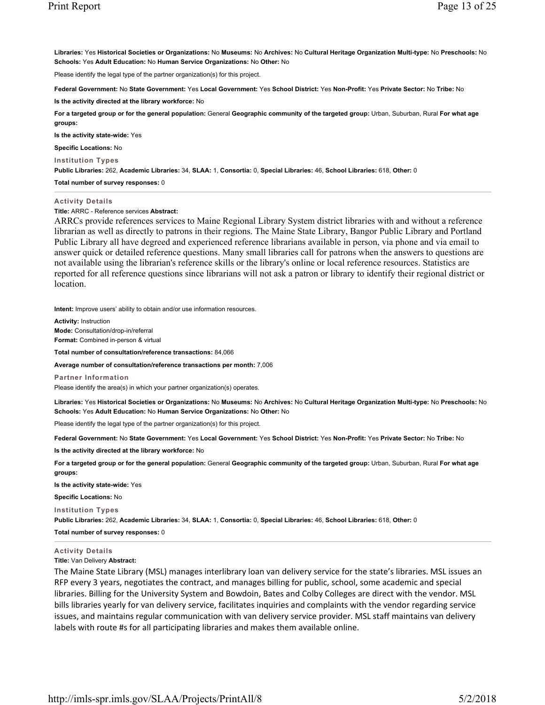**Libraries:** Yes **Historical Societies or Organizations:** No **Museums:** No **Archives:** No **Cultural Heritage Organization Multi-type:** No **Preschools:** No **Schools:** Yes **Adult Education:** No **Human Service Organizations:** No **Other:** No

Please identify the legal type of the partner organization(s) for this project.

**Federal Government:** No **State Government:** Yes **Local Government:** Yes **School District:** Yes **Non-Profit:** Yes **Private Sector:** No **Tribe:** No

**Is the activity directed at the library workforce:** No

**For a targeted group or for the general population:** General **Geographic community of the targeted group:** Urban, Suburban, Rural **For what age groups:** 

**Is the activity state-wide:** Yes

**Specific Locations:** No

**Institution Types**

**Public Libraries:** 262, **Academic Libraries:** 34, **SLAA:** 1, **Consortia:** 0, **Special Libraries:** 46, **School Libraries:** 618, **Other:** 0

**Total number of survey responses:** 0

#### **Activity Details**

**Title:** ARRC - Reference services **Abstract:**

ARRCs provide references services to Maine Regional Library System district libraries with and without a reference librarian as well as directly to patrons in their regions. The Maine State Library, Bangor Public Library and Portland Public Library all have degreed and experienced reference librarians available in person, via phone and via email to answer quick or detailed reference questions. Many small libraries call for patrons when the answers to questions are not available using the librarian's reference skills or the library's online or local reference resources. Statistics are reported for all reference questions since librarians will not ask a patron or library to identify their regional district or location.

**Intent:** Improve users' ability to obtain and/or use information resources.

**Activity:** Instruction **Mode:** Consultation/drop-in/referral **Format:** Combined in-person & virtual

**Total number of consultation/reference transactions:** 84,066

**Average number of consultation/reference transactions per month:** 7,006

**Partner Information**

Please identify the area(s) in which your partner organization(s) operates.

**Libraries:** Yes **Historical Societies or Organizations:** No **Museums:** No **Archives:** No **Cultural Heritage Organization Multi-type:** No **Preschools:** No **Schools:** Yes **Adult Education:** No **Human Service Organizations:** No **Other:** No

Please identify the legal type of the partner organization(s) for this project.

**Federal Government:** No **State Government:** Yes **Local Government:** Yes **School District:** Yes **Non-Profit:** Yes **Private Sector:** No **Tribe:** No

**Is the activity directed at the library workforce:** No

**For a targeted group or for the general population:** General **Geographic community of the targeted group:** Urban, Suburban, Rural **For what age groups:** 

**Is the activity state-wide:** Yes

**Specific Locations:** No

**Institution Types**

**Public Libraries:** 262, **Academic Libraries:** 34, **SLAA:** 1, **Consortia:** 0, **Special Libraries:** 46, **School Libraries:** 618, **Other:** 0

**Total number of survey responses:** 0

#### **Activity Details**

**Title:** Van Delivery **Abstract:**

The Maine State Library (MSL) manages interlibrary loan van delivery service for the state's libraries. MSL issues an RFP every 3 years, negotiates the contract, and manages billing for public, school, some academic and special libraries. Billing for the University System and Bowdoin, Bates and Colby Colleges are direct with the vendor. MSL bills libraries yearly for van delivery service, facilitates inquiries and complaints with the vendor regarding service issues, and maintains regular communication with van delivery service provider. MSL staff maintains van delivery labels with route #s for all participating libraries and makes them available online.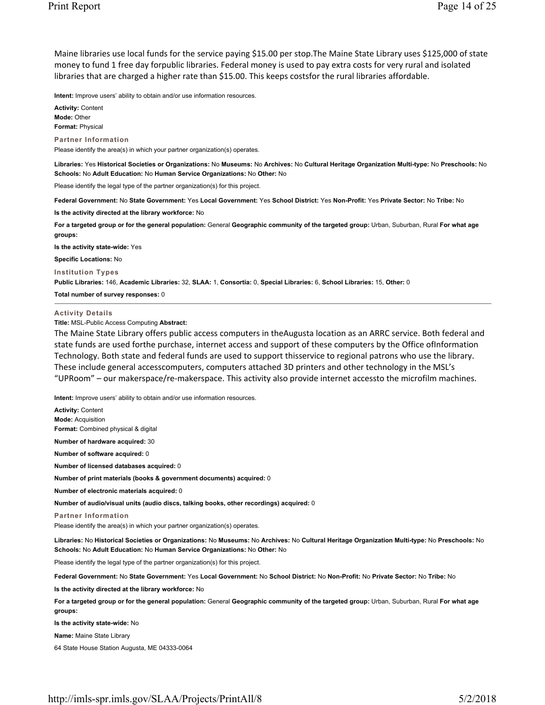Maine libraries use local funds for the service paying \$15.00 per stop.The Maine State Library uses \$125,000 of state money to fund 1 free day forpublic libraries. Federal money is used to pay extra costs for very rural and isolated libraries that are charged a higher rate than \$15.00. This keeps costsfor the rural libraries affordable.

**Intent:** Improve users' ability to obtain and/or use information resources.

**Activity:** Content **Mode:** Other **Format:** Physical

**Partner Information**

Please identify the area(s) in which your partner organization(s) operates.

**Libraries:** Yes **Historical Societies or Organizations:** No **Museums:** No **Archives:** No **Cultural Heritage Organization Multi-type:** No **Preschools:** No **Schools:** No **Adult Education:** No **Human Service Organizations:** No **Other:** No

Please identify the legal type of the partner organization(s) for this project.

**Federal Government:** No **State Government:** Yes **Local Government:** Yes **School District:** Yes **Non-Profit:** Yes **Private Sector:** No **Tribe:** No

**Is the activity directed at the library workforce:** No

**For a targeted group or for the general population:** General **Geographic community of the targeted group:** Urban, Suburban, Rural **For what age groups:** 

**Is the activity state-wide:** Yes

**Specific Locations:** No

**Institution Types**

**Public Libraries:** 146, **Academic Libraries:** 32, **SLAA:** 1, **Consortia:** 0, **Special Libraries:** 6, **School Libraries:** 15, **Other:** 0

**Total number of survey responses:** 0

#### **Activity Details**

**Title:** MSL-Public Access Computing **Abstract:**

The Maine State Library offers public access computers in theAugusta location as an ARRC service. Both federal and state funds are used forthe purchase, internet access and support of these computers by the Office ofInformation Technology. Both state and federal funds are used to support thisservice to regional patrons who use the library. These include general accesscomputers, computers attached 3D printers and other technology in the MSL's "UPRoom" – our makerspace/re-makerspace. This activity also provide internet accessto the microfilm machines.

**Intent:** Improve users' ability to obtain and/or use information resources.

**Activity:** Content **Mode:** Acquisition **Format:** Combined physical & digital **Number of hardware acquired:** 30 **Number of software acquired:** 0 **Number of licensed databases acquired:** 0 **Number of print materials (books & government documents) acquired:** 0 **Number of electronic materials acquired:** 0 **Number of audio/visual units (audio discs, talking books, other recordings) acquired:** 0 **Partner Information** Please identify the area(s) in which your partner organization(s) operates. **Libraries:** No **Historical Societies or Organizations:** No **Museums:** No **Archives:** No **Cultural Heritage Organization Multi-type:** No **Preschools:** No **Schools:** No **Adult Education:** No **Human Service Organizations:** No **Other:** No Please identify the legal type of the partner organization(s) for this project. **Federal Government:** No **State Government:** Yes **Local Government:** No **School District:** No **Non-Profit:** No **Private Sector:** No **Tribe:** No **Is the activity directed at the library workforce:** No **For a targeted group or for the general population:** General **Geographic community of the targeted group:** Urban, Suburban, Rural **For what age groups: Is the activity state-wide:** No **Name:** Maine State Library

64 State House Station Augusta, ME 04333-0064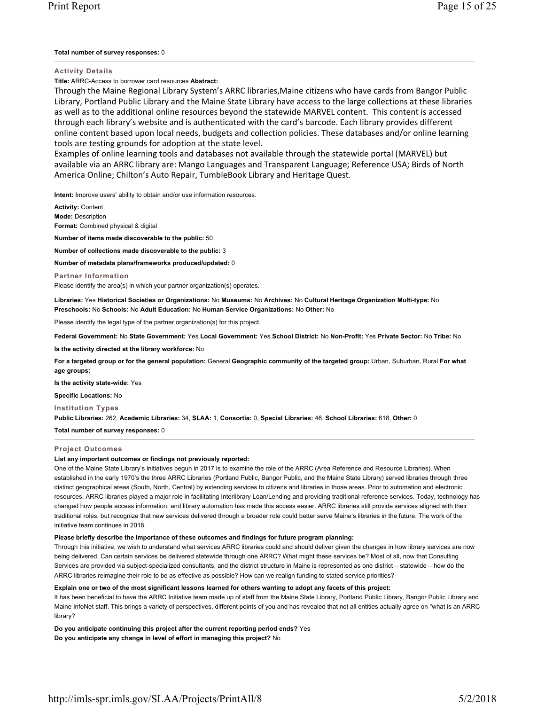# **Total number of survey responses:** 0

**Activity Details**

**Title:** ARRC-Access to borrower card resources **Abstract:**

Through the Maine Regional Library System's ARRC libraries,Maine citizens who have cards from Bangor Public Library, Portland Public Library and the Maine State Library have access to the large collections at these libraries as well as to the additional online resources beyond the statewide MARVEL content. This content is accessed through each library's website and is authenticated with the card's barcode. Each library provides different online content based upon local needs, budgets and collection policies. These databases and/or online learning tools are testing grounds for adoption at the state level.

Examples of online learning tools and databases not available through the statewide portal (MARVEL) but available via an ARRC library are: Mango Languages and Transparent Language; Reference USA; Birds of North America Online; Chilton's Auto Repair, TumbleBook Library and Heritage Quest.

**Intent:** Improve users' ability to obtain and/or use information resources.

**Activity:** Content **Mode:** Description **Format:** Combined physical & digital

**Number of items made discoverable to the public:** 50

**Number of collections made discoverable to the public:** 3

**Number of metadata plans/frameworks produced/updated:** 0

**Partner Information**

Please identify the area(s) in which your partner organization(s) operates.

**Libraries:** Yes **Historical Societies or Organizations:** No **Museums:** No **Archives:** No **Cultural Heritage Organization Multi-type:** No **Preschools:** No **Schools:** No **Adult Education:** No **Human Service Organizations:** No **Other:** No

Please identify the legal type of the partner organization(s) for this project.

**Federal Government:** No **State Government:** Yes **Local Government:** Yes **School District:** No **Non-Profit:** Yes **Private Sector:** No **Tribe:** No

**Is the activity directed at the library workforce:** No

**For a targeted group or for the general population:** General **Geographic community of the targeted group:** Urban, Suburban, Rural **For what age groups:** 

**Is the activity state-wide:** Yes

**Specific Locations:** No

**Institution Types**

**Public Libraries:** 262, **Academic Libraries:** 34, **SLAA:** 1, **Consortia:** 0, **Special Libraries:** 46, **School Libraries:** 618, **Other:** 0

**Total number of survey responses:** 0

# **Project Outcomes**

# **List any important outcomes or findings not previously reported:**

One of the Maine State Library's initiatives begun in 2017 is to examine the role of the ARRC (Area Reference and Resource Libraries). When established in the early 1970's the three ARRC Libraries (Portland Public, Bangor Public, and the Maine State Library) served libraries through three distinct geographical areas (South, North, Central) by extending services to citizens and libraries in those areas. Prior to automation and electronic resources, ARRC libraries played a major role in facilitating Interlibrary Loan/Lending and providing traditional reference services. Today, technology has changed how people access information, and library automation has made this access easier. ARRC libraries still provide services aligned with their traditional roles, but recognize that new services delivered through a broader role could better serve Maine's libraries in the future. The work of the initiative team continues in 2018.

# **Please briefly describe the importance of these outcomes and findings for future program planning:**

Through this initiative, we wish to understand what services ARRC libraries could and should deliver given the changes in how library services are now being delivered. Can certain services be delivered statewide through one ARRC? What might these services be? Most of all, now that Consulting Services are provided via subject-specialized consultants, and the district structure in Maine is represented as one district – statewide – how do the ARRC libraries reimagine their role to be as effective as possible? How can we realign funding to stated service priorities?

# **Explain one or two of the most significant lessons learned for others wanting to adopt any facets of this project:**

It has been beneficial to have the ARRC Initiative team made up of staff from the Maine State Library, Portland Public Library, Bangor Public Library and Maine InfoNet staff. This brings a variety of perspectives, different points of you and has revealed that not all entities actually agree on "what is an ARRC library?

**Do you anticipate continuing this project after the current reporting period ends?** Yes **Do you anticipate any change in level of effort in managing this project?** No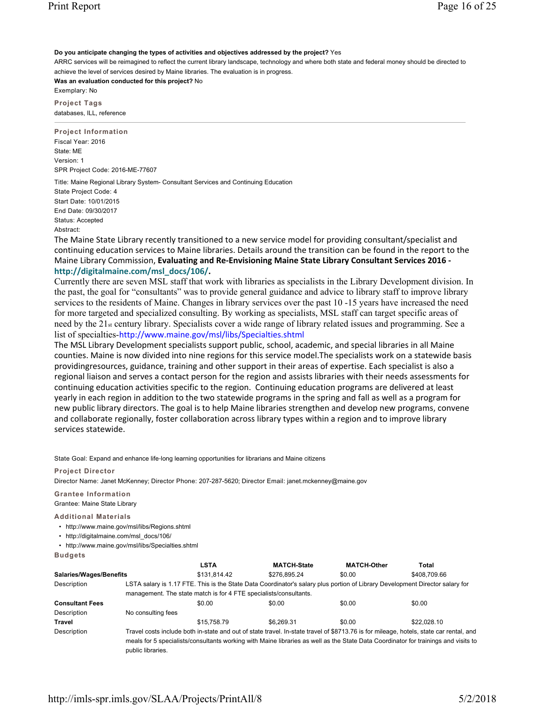**Do you anticipate changing the types of activities and objectives addressed by the project?** Yes

ARRC services will be reimagined to reflect the current library landscape, technology and where both state and federal money should be directed to achieve the level of services desired by Maine libraries. The evaluation is in progress.

**Was an evaluation conducted for this project?** No

Exemplary: No **Project Tags**

databases, ILL, reference

**Project Information** Fiscal Year: 2016 State: ME Version: 1 SPR Project Code: 2016-ME-77607

Title: Maine Regional Library System- Consultant Services and Continuing Education State Project Code: 4 Start Date: 10/01/2015 End Date: 09/30/2017 Status: Accepted Abstract:

The Maine State Library recently transitioned to a new service model for providing consultant/specialist and continuing education services to Maine libraries. Details around the transition can be found in the report to the Maine Library Commission, **Evaluating and ReEnvisioning Maine State Library Consultant Services 2016 http://digitalmaine.com/msl\_docs/106/.**

Currently there are seven MSL staff that work with libraries as specialists in the Library Development division. In the past, the goal for "consultants" was to provide general guidance and advice to library staff to improve library services to the residents of Maine. Changes in library services over the past 10 -15 years have increased the need for more targeted and specialized consulting. By working as specialists, MSL staff can target specific areas of need by the 21st century library. Specialists cover a wide range of library related issues and programming. See a list of specialties-http://www.maine.gov/msl/libs/Specialties.shtml

The MSL Library Development specialists support public, school, academic, and special libraries in all Maine counties. Maine is now divided into nine regions for this service model.The specialists work on a statewide basis providingresources, guidance, training and other support in their areas of expertise. Each specialist is also a regional liaison and serves a contact person for the region and assists libraries with their needs assessments for continuing education activities specific to the region. Continuing education programs are delivered at least yearly in each region in addition to the two statewide programs in the spring and fall as well as a program for new public library directors. The goal is to help Maine libraries strengthen and develop new programs, convene and collaborate regionally, foster collaboration across library types within a region and to improve library services statewide.

State Goal: Expand and enhance life‐long learning opportunities for librarians and Maine citizens

# **Project Director**

Director Name: Janet McKenney; Director Phone: 207-287-5620; Director Email: janet.mckenney@maine.gov

# **Grantee Information**

Grantee: Maine State Library

# **Additional Materials**

• http://www.maine.gov/msl/libs/Regions.shtml

• http://digitalmaine.com/msl\_docs/106/

• http://www.maine.gov/msl/libs/Specialties.shtml

**Budgets**

|                                |                    | <b>LSTA</b>                                                       | <b>MATCH-State</b>                                                                                                                     | <b>MATCH-Other</b> | Total        |
|--------------------------------|--------------------|-------------------------------------------------------------------|----------------------------------------------------------------------------------------------------------------------------------------|--------------------|--------------|
| <b>Salaries/Wages/Benefits</b> |                    | \$131.814.42                                                      | \$276.895.24                                                                                                                           | \$0.00             | \$408,709.66 |
| Description                    |                    |                                                                   | LSTA salary is 1.17 FTE. This is the State Data Coordinator's salary plus portion of Library Development Director salary for           |                    |              |
|                                |                    | management. The state match is for 4 FTE specialists/consultants. |                                                                                                                                        |                    |              |
| <b>Consultant Fees</b>         |                    | \$0.00                                                            | \$0.00                                                                                                                                 | \$0.00             | \$0.00       |
| Description                    | No consulting fees |                                                                   |                                                                                                                                        |                    |              |
| Travel                         |                    | \$15,758.79                                                       | \$6.269.31                                                                                                                             | \$0.00             | \$22,028.10  |
| Description                    |                    |                                                                   | Travel costs include both in-state and out of state travel. In-state travel of \$8713.76 is for mileage, hotels, state car rental, and |                    |              |
|                                |                    |                                                                   | meals for 5 specialists/consultants working with Maine libraries as well as the State Data Coordinator for trainings and visits to     |                    |              |
|                                | public libraries.  |                                                                   |                                                                                                                                        |                    |              |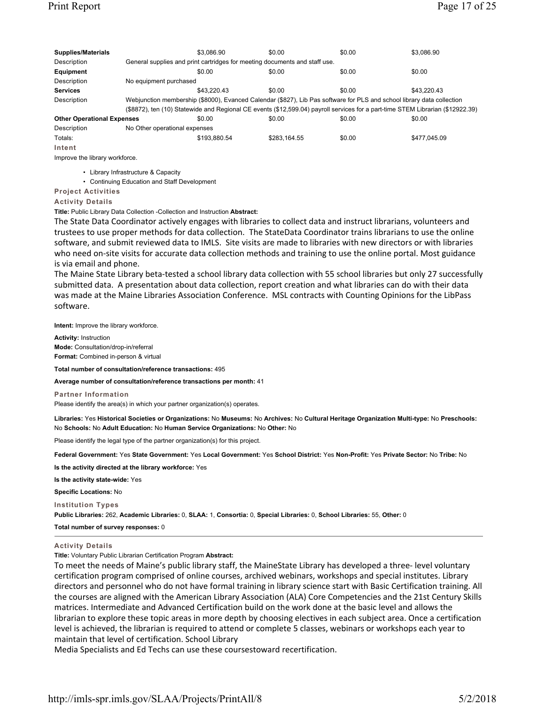| <b>Supplies/Materials</b>         |                               | \$3.086.90                                                                                                                     | \$0.00       | \$0.00 | \$3.086.90   |  |  |
|-----------------------------------|-------------------------------|--------------------------------------------------------------------------------------------------------------------------------|--------------|--------|--------------|--|--|
| Description                       |                               | General supplies and print cartridges for meeting documents and staff use.                                                     |              |        |              |  |  |
| Equipment                         |                               | \$0.00                                                                                                                         | \$0.00       | \$0.00 | \$0.00       |  |  |
| Description                       | No equipment purchased        |                                                                                                                                |              |        |              |  |  |
| <b>Services</b>                   |                               | \$43.220.43                                                                                                                    | \$0.00       | \$0.00 | \$43.220.43  |  |  |
| Description                       |                               | Webjunction membership (\$8000), Evanced Calendar (\$827), Lib Pas software for PLS and school library data collection         |              |        |              |  |  |
|                                   |                               | (\$8872), ten (10) Statewide and Regional CE events (\$12,599.04) payroll services for a part-time STEM Librarian (\$12922.39) |              |        |              |  |  |
| <b>Other Operational Expenses</b> |                               | \$0.00                                                                                                                         | \$0.00       | \$0.00 | \$0.00       |  |  |
| Description                       | No Other operational expenses |                                                                                                                                |              |        |              |  |  |
| Totals:                           |                               | \$193.880.54                                                                                                                   | \$283.164.55 | \$0.00 | \$477,045.09 |  |  |
| Intent                            |                               |                                                                                                                                |              |        |              |  |  |
| Improve the library workforce.    |                               |                                                                                                                                |              |        |              |  |  |

• Library Infrastructure & Capacity

• Continuing Education and Staff Development

**Project Activities**

**Activity Details**

**Title:** Public Library Data Collection -Collection and Instruction **Abstract:**

The State Data Coordinator actively engages with libraries to collect data and instruct librarians, volunteers and trustees to use proper methods for data collection. The StateData Coordinator trains librarians to use the online software, and submit reviewed data to IMLS. Site visits are made to libraries with new directors or with libraries who need on-site visits for accurate data collection methods and training to use the online portal. Most guidance is via email and phone.

The Maine State Library beta-tested a school library data collection with 55 school libraries but only 27 successfully submitted data. A presentation about data collection, report creation and what libraries can do with their data was made at the Maine Libraries Association Conference. MSL contracts with Counting Opinions for the LibPass software.

**Intent:** Improve the library workforce.

**Activity:** Instruction **Mode:** Consultation/drop-in/referral **Format:** Combined in-person & virtual

**Total number of consultation/reference transactions:** 495

**Average number of consultation/reference transactions per month:** 41

**Partner Information**

Please identify the area(s) in which your partner organization(s) operates.

**Libraries:** Yes **Historical Societies or Organizations:** No **Museums:** No **Archives:** No **Cultural Heritage Organization Multi-type:** No **Preschools:** No **Schools:** No **Adult Education:** No **Human Service Organizations:** No **Other:** No

Please identify the legal type of the partner organization(s) for this project.

**Federal Government:** Yes **State Government:** Yes **Local Government:** Yes **School District:** Yes **Non-Profit:** Yes **Private Sector:** No **Tribe:** No

**Is the activity directed at the library workforce:** Yes

**Is the activity state-wide:** Yes

**Specific Locations:** No

**Institution Types**

**Public Libraries:** 262, **Academic Libraries:** 0, **SLAA:** 1, **Consortia:** 0, **Special Libraries:** 0, **School Libraries:** 55, **Other:** 0

**Total number of survey responses:** 0

### **Activity Details**

**Title:** Voluntary Public Librarian Certification Program **Abstract:**

To meet the needs of Maine's public library staff, the MaineState Library has developed a three level voluntary certification program comprised of online courses, archived webinars, workshops and special institutes. Library directors and personnel who do not have formal training in library science start with Basic Certification training. All the courses are aligned with the American Library Association (ALA) Core Competencies and the 21st Century Skills matrices. Intermediate and Advanced Certification build on the work done at the basic level and allows the librarian to explore these topic areas in more depth by choosing electives in each subject area. Once a certification level is achieved, the librarian is required to attend or complete 5 classes, webinars or workshops each year to maintain that level of certification. School Library

Media Specialists and Ed Techs can use these coursestoward recertification.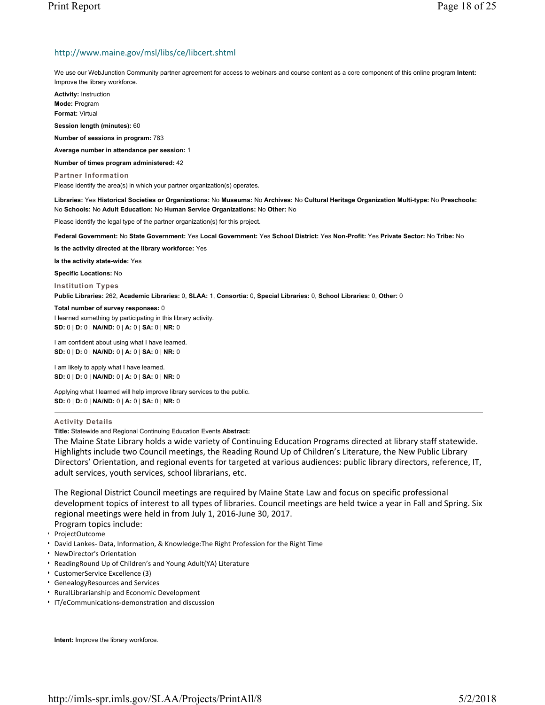# http://www.maine.gov/msl/libs/ce/libcert.shtml

We use our WebJunction Community partner agreement for access to webinars and course content as a core component of this online program **Intent:** Improve the library workforce.

**Activity:** Instruction **Mode:** Program **Format:** Virtual

**Session length (minutes):** 60

**Number of sessions in program:** 783

**Average number in attendance per session:** 1

**Number of times program administered:** 42

**Partner Information** Please identify the area(s) in which your partner organization(s) operates.

**Libraries:** Yes **Historical Societies or Organizations:** No **Museums:** No **Archives:** No **Cultural Heritage Organization Multi-type:** No **Preschools:** No **Schools:** No **Adult Education:** No **Human Service Organizations:** No **Other:** No

Please identify the legal type of the partner organization(s) for this project.

**Federal Government:** No **State Government:** Yes **Local Government:** Yes **School District:** Yes **Non-Profit:** Yes **Private Sector:** No **Tribe:** No

**Is the activity directed at the library workforce:** Yes

**Is the activity state-wide:** Yes

**Specific Locations:** No

**Institution Types**

**Public Libraries:** 262, **Academic Libraries:** 0, **SLAA:** 1, **Consortia:** 0, **Special Libraries:** 0, **School Libraries:** 0, **Other:** 0

**Total number of survey responses:** 0

I learned something by participating in this library activity. **SD:** 0 | **D:** 0 | **NA/ND:** 0 | **A:** 0 | **SA:** 0 | **NR:** 0

I am confident about using what I have learned. **SD:** 0 | **D:** 0 | **NA/ND:** 0 | **A:** 0 | **SA:** 0 | **NR:** 0

I am likely to apply what I have learned. **SD:** 0 | **D:** 0 | **NA/ND:** 0 | **A:** 0 | **SA:** 0 | **NR:** 0

Applying what I learned will help improve library services to the public. **SD:** 0 | **D:** 0 | **NA/ND:** 0 | **A:** 0 | **SA:** 0 | **NR:** 0

# **Activity Details**

**Title:** Statewide and Regional Continuing Education Events **Abstract:**

The Maine State Library holds a wide variety of Continuing Education Programs directed at library staff statewide. Highlights include two Council meetings, the Reading Round Up of Children's Literature, the New Public Library Directors' Orientation, and regional events for targeted at various audiences: public library directors, reference, IT, adult services, youth services, school librarians, etc.

The Regional District Council meetings are required by Maine State Law and focus on specific professional development topics of interest to all types of libraries. Council meetings are held twice a year in Fall and Spring. Six regional meetings were held in from July 1, 2016-June 30, 2017.

Program topics include:

- ProjectOutcome
- David Lankes-Data, Information, & Knowledge: The Right Profession for the Right Time
- NewDirector's Orientation
- ReadingRound Up of Children's and Young Adult(YA) Literature
- CustomerService Excellence (3)
- GenealogyResources and Services
- RuralLibrarianship and Economic Development
- IT/eCommunications-demonstration and discussion

**Intent:** Improve the library workforce.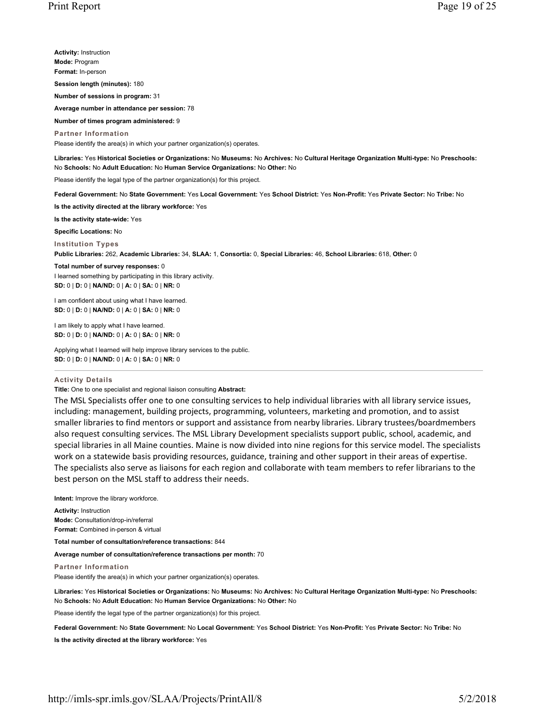**Activity:** Instruction **Mode:** Program **Format:** In-person **Session length (minutes):** 180 **Number of sessions in program:** 31 **Average number in attendance per session:** 78 **Number of times program administered:** 9

**Partner Information** Please identify the area(s) in which your partner organization(s) operates.

**Libraries:** Yes **Historical Societies or Organizations:** No **Museums:** No **Archives:** No **Cultural Heritage Organization Multi-type:** No **Preschools:** No **Schools:** No **Adult Education:** No **Human Service Organizations:** No **Other:** No

Please identify the legal type of the partner organization(s) for this project.

**Federal Government:** No **State Government:** Yes **Local Government:** Yes **School District:** Yes **Non-Profit:** Yes **Private Sector:** No **Tribe:** No

**Is the activity directed at the library workforce:** Yes

**Is the activity state-wide:** Yes

**Specific Locations:** No

**Institution Types**

**Public Libraries:** 262, **Academic Libraries:** 34, **SLAA:** 1, **Consortia:** 0, **Special Libraries:** 46, **School Libraries:** 618, **Other:** 0

#### **Total number of survey responses:** 0

I learned something by participating in this library activity. **SD:** 0 | **D:** 0 | **NA/ND:** 0 | **A:** 0 | **SA:** 0 | **NR:** 0

I am confident about using what I have learned. **SD:** 0 | **D:** 0 | **NA/ND:** 0 | **A:** 0 | **SA:** 0 | **NR:** 0

I am likely to apply what I have learned. **SD:** 0 | **D:** 0 | **NA/ND:** 0 | **A:** 0 | **SA:** 0 | **NR:** 0

Applying what I learned will help improve library services to the public. **SD:** 0 | **D:** 0 | **NA/ND:** 0 | **A:** 0 | **SA:** 0 | **NR:** 0

## **Activity Details**

**Title:** One to one specialist and regional liaison consulting **Abstract:**

The MSL Specialists offer one to one consulting services to help individual libraries with all library service issues, including: management, building projects, programming, volunteers, marketing and promotion, and to assist smaller libraries to find mentors or support and assistance from nearby libraries. Library trustees/boardmembers also request consulting services. The MSL Library Development specialists support public, school, academic, and special libraries in all Maine counties. Maine is now divided into nine regions for this service model. The specialists work on a statewide basis providing resources, guidance, training and other support in their areas of expertise. The specialists also serve as liaisons for each region and collaborate with team members to refer librarians to the best person on the MSL staff to address their needs.

**Intent:** Improve the library workforce.

**Activity:** Instruction **Mode:** Consultation/drop-in/referral **Format:** Combined in-person & virtual

**Total number of consultation/reference transactions:** 844

**Average number of consultation/reference transactions per month:** 70

**Partner Information**

Please identify the area(s) in which your partner organization(s) operates.

**Libraries:** Yes **Historical Societies or Organizations:** No **Museums:** No **Archives:** No **Cultural Heritage Organization Multi-type:** No **Preschools:** No **Schools:** No **Adult Education:** No **Human Service Organizations:** No **Other:** No

Please identify the legal type of the partner organization(s) for this project.

**Federal Government:** No **State Government:** No **Local Government:** Yes **School District:** Yes **Non-Profit:** Yes **Private Sector:** No **Tribe:** No **Is the activity directed at the library workforce:** Yes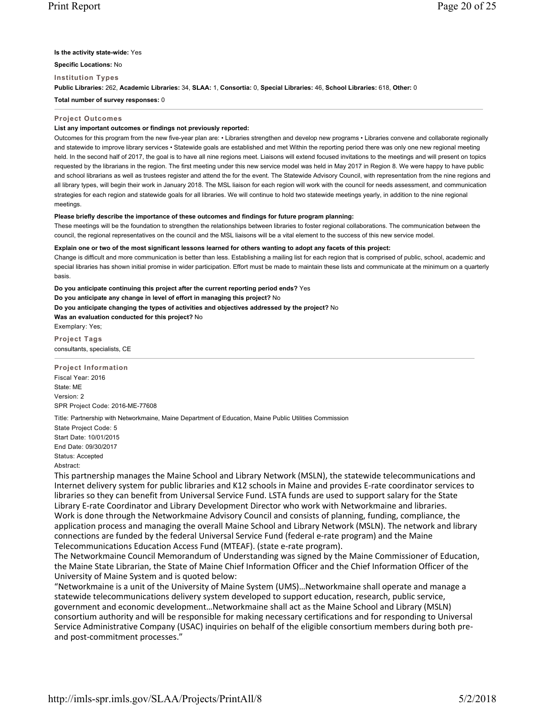# **Is the activity state-wide:** Yes

**Specific Locations:** No

**Institution Types**

**Public Libraries:** 262, **Academic Libraries:** 34, **SLAA:** 1, **Consortia:** 0, **Special Libraries:** 46, **School Libraries:** 618, **Other:** 0

**Total number of survey responses:** 0

# **Project Outcomes**

# **List any important outcomes or findings not previously reported:**

Outcomes for this program from the new five-year plan are: • Libraries strengthen and develop new programs • Libraries convene and collaborate regionally and statewide to improve library services · Statewide goals are established and met Within the reporting period there was only one new regional meeting held. In the second half of 2017, the goal is to have all nine regions meet. Liaisons will extend focused invitations to the meetings and will present on topics requested by the librarians in the region. The first meeting under this new service model was held in May 2017 in Region 8. We were happy to have public and school librarians as well as trustees register and attend the for the event. The Statewide Advisory Council, with representation from the nine regions and all library types, will begin their work in January 2018. The MSL liaison for each region will work with the council for needs assessment, and communication strategies for each region and statewide goals for all libraries. We will continue to hold two statewide meetings yearly, in addition to the nine regional meetings.

# **Please briefly describe the importance of these outcomes and findings for future program planning:**

These meetings will be the foundation to strengthen the relationships between libraries to foster regional collaborations. The communication between the council, the regional representatives on the council and the MSL liaisons will be a vital element to the success of this new service model.

# **Explain one or two of the most significant lessons learned for others wanting to adopt any facets of this project:**

Change is difficult and more communication is better than less. Establishing a mailing list for each region that is comprised of public, school, academic and special libraries has shown initial promise in wider participation. Effort must be made to maintain these lists and communicate at the minimum on a quarterly basis.

**Do you anticipate continuing this project after the current reporting period ends?** Yes **Do you anticipate any change in level of effort in managing this project?** No **Do you anticipate changing the types of activities and objectives addressed by the project?** No **Was an evaluation conducted for this project?** No Exemplary: Yes;

**Project Tags** consultants, specialists, CE

**Project Information** Fiscal Year: 2016 State: ME Version: 2 SPR Project Code: 2016-ME-77608

Title: Partnership with Networkmaine, Maine Department of Education, Maine Public Utilities Commission State Project Code: 5 Start Date: 10/01/2015 End Date: 09/30/2017 Status: Accepted Abstract:

This partnership manages the Maine School and Library Network (MSLN), the statewide telecommunications and Internet delivery system for public libraries and K12 schools in Maine and provides Erate coordinator services to libraries so they can benefit from Universal Service Fund. LSTA funds are used to support salary for the State Library Erate Coordinator and Library Development Director who work with Networkmaine and libraries. Work is done through the Networkmaine Advisory Council and consists of planning, funding, compliance, the application process and managing the overall Maine School and Library Network (MSLN). The network and library connections are funded by the federal Universal Service Fund (federal erate program) and the Maine Telecommunications Education Access Fund (MTEAF). (state erate program).

The Networkmaine Council Memorandum of Understanding was signed by the Maine Commissioner of Education, the Maine State Librarian, the State of Maine Chief Information Officer and the Chief Information Officer of the University of Maine System and is quoted below:

"Networkmaine is a unit of the University of Maine System (UMS)…Networkmaine shall operate and manage a statewide telecommunications delivery system developed to support education, research, public service, government and economic development…Networkmaine shall act as the Maine School and Library (MSLN) consortium authority and will be responsible for making necessary certifications and for responding to Universal Service Administrative Company (USAC) inquiries on behalf of the eligible consortium members during both preand post-commitment processes."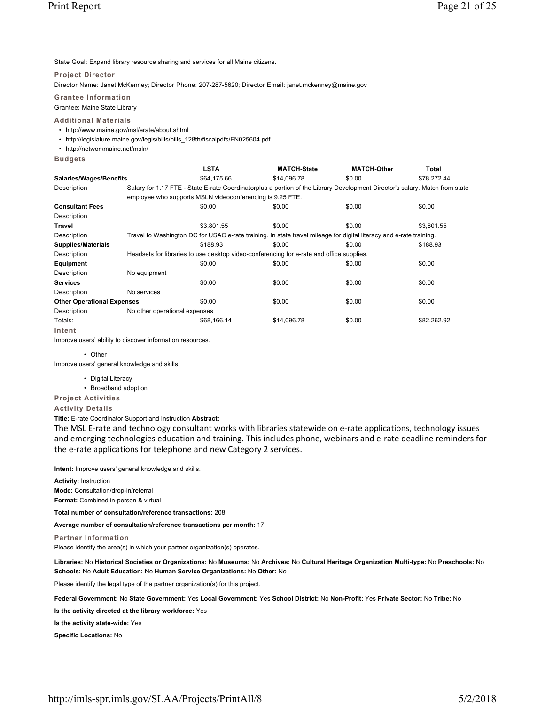State Goal: Expand library resource sharing and services for all Maine citizens.

### **Project Director**

Director Name: Janet McKenney; Director Phone: 207-287-5620; Director Email: janet.mckenney@maine.gov

**Grantee Information** Grantee: Maine State Library

### **Additional Materials**

- http://www.maine.gov/msl/erate/about.shtml
- http://legislature.maine.gov/legis/bills/bills\_128th/fiscalpdfs/FN025604.pdf
- http://networkmaine.net/msln/
- **Budgets**

|                                   |                               | <b>LSTA</b>                                                                                                                 | <b>MATCH-State</b> | <b>MATCH-Other</b> | Total       |
|-----------------------------------|-------------------------------|-----------------------------------------------------------------------------------------------------------------------------|--------------------|--------------------|-------------|
| <b>Salaries/Wages/Benefits</b>    |                               | \$64,175.66                                                                                                                 | \$14,096.78        | \$0.00             | \$78,272.44 |
| Description                       |                               | Salary for 1.17 FTE - State E-rate Coordinatorplus a portion of the Library Development Director's salary. Match from state |                    |                    |             |
|                                   |                               | employee who supports MSLN videoconferencing is 9.25 FTE.                                                                   |                    |                    |             |
| <b>Consultant Fees</b>            |                               | \$0.00                                                                                                                      | \$0.00             | \$0.00             | \$0.00      |
| Description                       |                               |                                                                                                                             |                    |                    |             |
| Travel                            |                               | \$3.801.55                                                                                                                  | \$0.00             | \$0.00             | \$3,801.55  |
| Description                       |                               | Travel to Washington DC for USAC e-rate training. In state travel mileage for digital literacy and e-rate training.         |                    |                    |             |
| <b>Supplies/Materials</b>         |                               | \$188.93                                                                                                                    | \$0.00             | \$0.00             | \$188.93    |
| Description                       |                               | Headsets for libraries to use desktop video-conferencing for e-rate and office supplies.                                    |                    |                    |             |
| Equipment                         |                               | \$0.00                                                                                                                      | \$0.00             | \$0.00             | \$0.00      |
| Description                       | No equipment                  |                                                                                                                             |                    |                    |             |
| <b>Services</b>                   |                               | \$0.00                                                                                                                      | \$0.00             | \$0.00             | \$0.00      |
| Description                       | No services                   |                                                                                                                             |                    |                    |             |
| <b>Other Operational Expenses</b> |                               | \$0.00                                                                                                                      | \$0.00             | \$0.00             | \$0.00      |
| Description                       | No other operational expenses |                                                                                                                             |                    |                    |             |
| Totals:                           |                               | \$68,166.14                                                                                                                 | \$14,096.78        | \$0.00             | \$82,262.92 |
| Intent                            |                               |                                                                                                                             |                    |                    |             |

Improve users' ability to discover information resources.

• Other

Improve users' general knowledge and skills.

- Digital Literacy
- Broadband adoption

# **Project Activities**

**Activity Details**

**Title:** E-rate Coordinator Support and Instruction **Abstract:**

The MSL E-rate and technology consultant works with libraries statewide on e-rate applications, technology issues and emerging technologies education and training. This includes phone, webinars and e-rate deadline reminders for the e-rate applications for telephone and new Category 2 services.

**Intent:** Improve users' general knowledge and skills.

**Activity:** Instruction

**Mode:** Consultation/drop-in/referral

**Format:** Combined in-person & virtual

**Total number of consultation/reference transactions:** 208

**Average number of consultation/reference transactions per month:** 17

**Partner Information**

Please identify the area(s) in which your partner organization(s) operates.

**Libraries:** No **Historical Societies or Organizations:** No **Museums:** No **Archives:** No **Cultural Heritage Organization Multi-type:** No **Preschools:** No **Schools:** No **Adult Education:** No **Human Service Organizations:** No **Other:** No

Please identify the legal type of the partner organization(s) for this project.

**Federal Government:** No **State Government:** Yes **Local Government:** Yes **School District:** No **Non-Profit:** Yes **Private Sector:** No **Tribe:** No

**Is the activity directed at the library workforce:** Yes

**Is the activity state-wide:** Yes

**Specific Locations:** No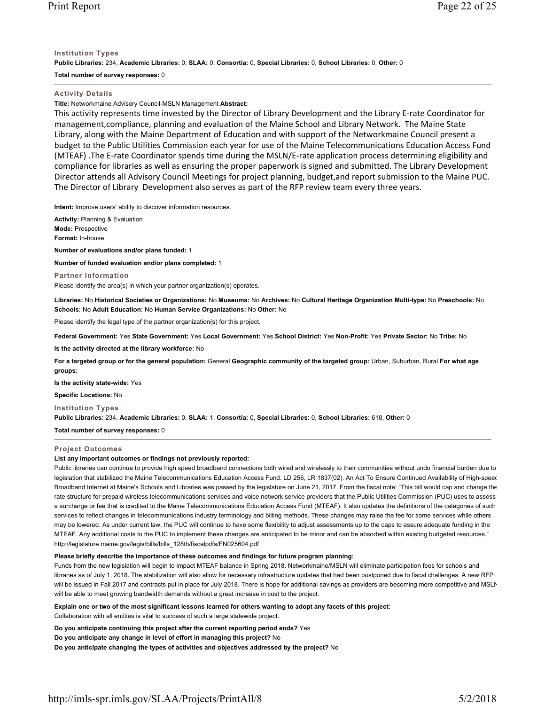# **Institution Types**

**Public Libraries:** 234, **Academic Libraries:** 0, **SLAA:** 0, **Consortia:** 0, **Special Libraries:** 0, **School Libraries:** 0, **Other:** 0

# **Total number of survey responses:** 0

# **Activity Details**

**Title:** Networkmaine Advisory Council-MSLN Management **Abstract:**

This activity represents time invested by the Director of Library Development and the Library Erate Coordinator for management,compliance, planning and evaluation of the Maine School and Library Network. The Maine State Library, along with the Maine Department of Education and with support of the Networkmaine Council present a budget to the Public Utilities Commission each year for use of the Maine Telecommunications Education Access Fund (MTEAF) .The Erate Coordinator spends time during the MSLN/Erate application process determining eligibility and compliance for libraries as well as ensuring the proper paperwork is signed and submitted. The Library Development Director attends all Advisory Council Meetings for project planning, budget,and report submission to the Maine PUC. The Director of Library Development also serves as part of the RFP review team every three years.

**Intent:** Improve users' ability to discover information resources.

**Activity:** Planning & Evaluation **Mode:** Prospective **Format:** In-house

**Number of evaluations and/or plans funded:** 1

**Number of funded evaluation and/or plans completed:** 1

**Partner Information** Please identify the area(s) in which your partner organization(s) operates.

**Libraries:** No **Historical Societies or Organizations:** No **Museums:** No **Archives:** No **Cultural Heritage Organization Multi-type:** No **Preschools:** No **Schools:** No **Adult Education:** No **Human Service Organizations:** No **Other:** No

Please identify the legal type of the partner organization(s) for this project.

**Federal Government:** Yes **State Government:** Yes **Local Government:** Yes **School District:** Yes **Non-Profit:** Yes **Private Sector:** No **Tribe:** No

**Is the activity directed at the library workforce:** No

**For a targeted group or for the general population:** General **Geographic community of the targeted group:** Urban, Suburban, Rural **For what age groups:** 

**Is the activity state-wide:** Yes

**Specific Locations:** No

# **Institution Types**

**Public Libraries:** 234, **Academic Libraries:** 0, **SLAA:** 1, **Consortia:** 0, **Special Libraries:** 0, **School Libraries:** 618, **Other:** 0

**Total number of survey responses:** 0

# **Project Outcomes**

# **List any important outcomes or findings not previously reported:**

Public libraries can continue to provide high speed broadband connections both wired and wirelessly to their communities without undo financial burden due to legislation that stabilized the Maine Telecommunications Education Access Fund. LD 256, LR 1837(02). An Act To Ensure Continued Availability of High-speed Broadband Internet at Maine's Schools and Libraries was passed by the legislature on June 21, 2017. From the fiscal note: "This bill would cap and change the rate structure for prepaid wireless telecommunications services and voice network service providers that the Public Utilities Commission (PUC) uses to assess a surcharge or fee that is credited to the Maine Telecommunications Education Access Fund (MTEAF). It also updates the definitions of the categories of such services to reflect changes in telecommunications industry terminology and billing methods. These changes may raise the fee for some services while others may be lowered. As under current law, the PUC will continue to have some flexibility to adjust assessments up to the caps to assure adequate funding in the MTEAF. Any additional costs to the PUC to implement these changes are anticipated to be minor and can be absorbed within existing budgeted resources." http://legislature.maine.gov/legis/bills/bills\_128th/fiscalpdfs/FN025604.pdf

# **Please briefly describe the importance of these outcomes and findings for future program planning:**

Funds from the new legislation will begin to impact MTEAF balance in Spring 2018. Networkmaine/MSLN will eliminate participation fees for schools and libraries as of July 1, 2018. The stabilization will also allow for necessary infrastructure updates that had been postponed due to fiscal challenges. A new RFP will be issued in Fall 2017 and contracts put in place for July 2018. There is hope for additional savings as providers are becoming more competitive and MSLN will be able to meet growing bandwidth demands without a great increase in cost to the project.

**Explain one or two of the most significant lessons learned for others wanting to adopt any facets of this project:** Collaboration with all entities is vital to success of such a large statewide project.

**Do you anticipate continuing this project after the current reporting period ends?** Yes

**Do you anticipate any change in level of effort in managing this project?** No

**Do you anticipate changing the types of activities and objectives addressed by the project?** No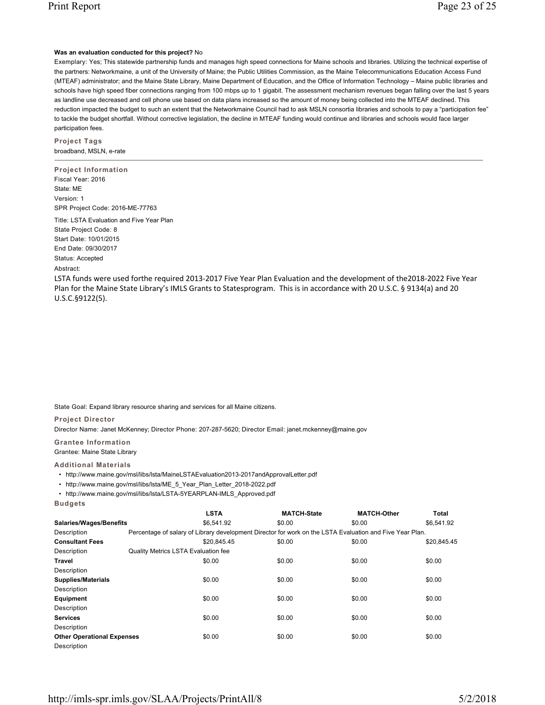# **Was an evaluation conducted for this project?** No

Exemplary: Yes; This statewide partnership funds and manages high speed connections for Maine schools and libraries. Utilizing the technical expertise of the partners: Networkmaine, a unit of the University of Maine; the Public Utilities Commission, as the Maine Telecommunications Education Access Fund (MTEAF) administrator; and the Maine State Library, Maine Department of Education, and the Office of Information Technology – Maine public libraries and schools have high speed fiber connections ranging from 100 mbps up to 1 gigabit. The assessment mechanism revenues began falling over the last 5 years as landline use decreased and cell phone use based on data plans increased so the amount of money being collected into the MTEAF declined. This reduction impacted the budget to such an extent that the Networkmaine Council had to ask MSLN consortia libraries and schools to pay a "participation fee" to tackle the budget shortfall. Without corrective legislation, the decline in MTEAF funding would continue and libraries and schools would face larger participation fees.

**Project Tags** broadband, MSLN, e-rate

**Project Information** Fiscal Year: 2016 State: ME Version: 1 SPR Project Code: 2016-ME-77763

Title: LSTA Evaluation and Five Year Plan State Project Code: 8 Start Date: 10/01/2015 End Date: 09/30/2017 Status: Accepted

# Abstract:

LSTA funds were used forthe required 2013-2017 Five Year Plan Evaluation and the development of the2018-2022 Five Year Plan for the Maine State Library's IMLS Grants to Statesprogram. This is in accordance with 20 U.S.C. § 9134(a) and 20 U.S.C.§9122(5).

State Goal: Expand library resource sharing and services for all Maine citizens.

### **Project Director**

Director Name: Janet McKenney; Director Phone: 207-287-5620; Director Email: janet.mckenney@maine.gov

**Grantee Information**

Grantee: Maine State Library

# **Additional Materials**

• http://www.maine.gov/msl/libs/lsta/MaineLSTAEvaluation2013-2017andApprovalLetter.pdf

• http://www.maine.gov/msl/libs/lsta/ME\_5\_Year\_Plan\_Letter\_2018-2022.pdf

• http://www.maine.gov/msl/libs/lsta/LSTA-5YEARPLAN-IMLS\_Approved.pdf

| uaa |  |  |
|-----|--|--|
|     |  |  |

|                                   | <b>LSTA</b>                                                                                              | <b>MATCH-State</b> | <b>MATCH-Other</b> | <b>Total</b> |
|-----------------------------------|----------------------------------------------------------------------------------------------------------|--------------------|--------------------|--------------|
| Salaries/Wages/Benefits           | \$6.541.92                                                                                               | \$0.00             | \$0.00             | \$6.541.92   |
| Description                       | Percentage of salary of Library development Director for work on the LSTA Evaluation and Five Year Plan. |                    |                    |              |
| <b>Consultant Fees</b>            | \$20.845.45                                                                                              | \$0.00             | \$0.00             | \$20.845.45  |
| Description                       | <b>Quality Metrics LSTA Evaluation fee</b>                                                               |                    |                    |              |
| Travel                            | \$0.00                                                                                                   | \$0.00             | \$0.00             | \$0.00       |
| Description                       |                                                                                                          |                    |                    |              |
| <b>Supplies/Materials</b>         | \$0.00                                                                                                   | \$0.00             | \$0.00             | \$0.00       |
| Description                       |                                                                                                          |                    |                    |              |
| Equipment                         | \$0.00                                                                                                   | \$0.00             | \$0.00             | \$0.00       |
| Description                       |                                                                                                          |                    |                    |              |
| <b>Services</b>                   | \$0.00                                                                                                   | \$0.00             | \$0.00             | \$0.00       |
| Description                       |                                                                                                          |                    |                    |              |
| <b>Other Operational Expenses</b> | \$0.00                                                                                                   | \$0.00             | \$0.00             | \$0.00       |
| Description                       |                                                                                                          |                    |                    |              |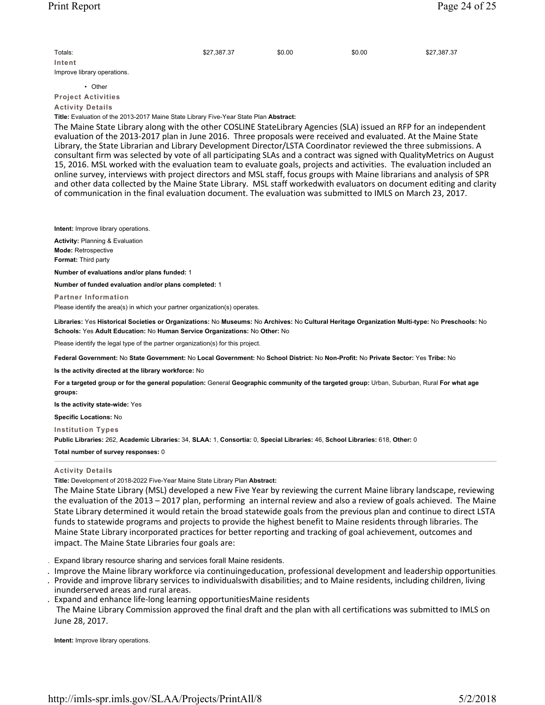| Totals:                     | \$27,387.37 | \$0.00 | \$0.00 | \$27,387.37 |
|-----------------------------|-------------|--------|--------|-------------|
| Intent                      |             |        |        |             |
| Improve library operations. |             |        |        |             |

• Other

**Project Activities Activity Details**

**Title:** Evaluation of the 2013-2017 Maine State Library Five-Year State Plan **Abstract:**

The Maine State Library along with the other COSLINE StateLibrary Agencies (SLA) issued an RFP for an independent evaluation of the 2013-2017 plan in June 2016. Three proposals were received and evaluated. At the Maine State Library, the State Librarian and Library Development Director/LSTA Coordinator reviewed the three submissions. A consultant firm was selected by vote of all participating SLAs and a contract was signed with QualityMetrics on August 15, 2016. MSL worked with the evaluation team to evaluate goals, projects and activities. The evaluation included an online survey, interviews with project directors and MSL staff, focus groups with Maine librarians and analysis of SPR and other data collected by the Maine State Library. MSL staff workedwith evaluators on document editing and clarity of communication in the final evaluation document. The evaluation was submitted to IMLS on March 23, 2017.

**Intent:** Improve library operations.

**Activity:** Planning & Evaluation **Mode:** Retrospective **Format:** Third party

**Number of evaluations and/or plans funded:** 1

**Number of funded evaluation and/or plans completed:** 1

**Partner Information**

Please identify the area(s) in which your partner organization(s) operates.

**Libraries:** Yes **Historical Societies or Organizations:** No **Museums:** No **Archives:** No **Cultural Heritage Organization Multi-type:** No **Preschools:** No **Schools:** Yes **Adult Education:** No **Human Service Organizations:** No **Other:** No

Please identify the legal type of the partner organization(s) for this project.

**Federal Government:** No **State Government:** No **Local Government:** No **School District:** No **Non-Profit:** No **Private Sector:** Yes **Tribe:** No

**Is the activity directed at the library workforce:** No

**For a targeted group or for the general population:** General **Geographic community of the targeted group:** Urban, Suburban, Rural **For what age groups:** 

**Is the activity state-wide:** Yes

**Specific Locations:** No

**Institution Types**

**Public Libraries:** 262, **Academic Libraries:** 34, **SLAA:** 1, **Consortia:** 0, **Special Libraries:** 46, **School Libraries:** 618, **Other:** 0

**Total number of survey responses:** 0

# **Activity Details**

**Title:** Development of 2018-2022 Five-Year Maine State Library Plan **Abstract:**

The Maine State Library (MSL) developed a new Five Year by reviewing the current Maine library landscape, reviewing the evaluation of the 2013 – 2017 plan, performing an internal review and also a review of goals achieved. The Maine State Library determined it would retain the broad statewide goals from the previous plan and continue to direct LSTA funds to statewide programs and projects to provide the highest benefit to Maine residents through libraries. The Maine State Library incorporated practices for better reporting and tracking of goal achievement, outcomes and impact. The Maine State Libraries four goals are:

. Expand library resource sharing and services forall Maine residents.

. Improve the Maine library workforce via continuingeducation, professional development and leadership opportunities.

. Provide and improve library services to individualswith disabilities; and to Maine residents, including children, living

inunderserved areas and rural areas.

Expand and enhance life-long learning opportunitiesMaine residents

 The Maine Library Commission approved the final draft and the plan with all certifications was submitted to IMLS on June 28, 2017.

**Intent:** Improve library operations.